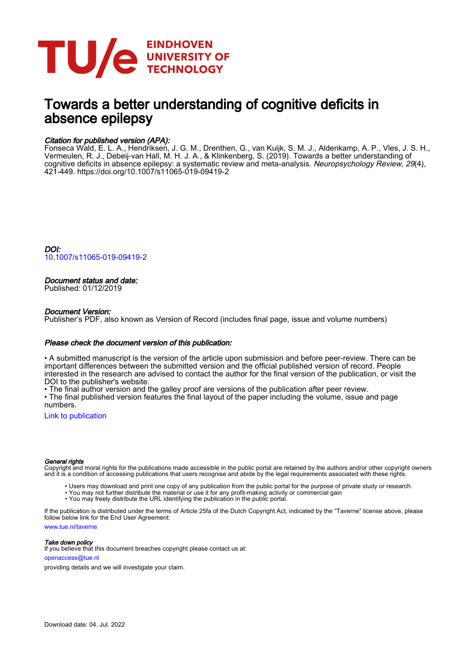

# Towards a better understanding of cognitive deficits in absence epilepsy

# Citation for published version (APA):

Fonseca Wald, E. L. A., Hendriksen, J. G. M., Drenthen, G., van Kuijk, S. M. J., Aldenkamp, A. P., Vles, J. S. H., Vermeulen, R. J., Debeij-van Hall, M. H. J. A., & Klinkenberg, S. (2019). Towards a better understanding of cognitive deficits in absence epilepsy: a systematic review and meta-analysis. Neuropsychology Review, 29(4), 421-449.<https://doi.org/10.1007/s11065-019-09419-2>

DOI: [10.1007/s11065-019-09419-2](https://doi.org/10.1007/s11065-019-09419-2)

# Document status and date:

Published: 01/12/2019

### Document Version:

Publisher's PDF, also known as Version of Record (includes final page, issue and volume numbers)

### Please check the document version of this publication:

• A submitted manuscript is the version of the article upon submission and before peer-review. There can be important differences between the submitted version and the official published version of record. People interested in the research are advised to contact the author for the final version of the publication, or visit the DOI to the publisher's website.

• The final author version and the galley proof are versions of the publication after peer review.

• The final published version features the final layout of the paper including the volume, issue and page numbers.

[Link to publication](https://research.tue.nl/en/publications/65cda3e8-6860-4612-adb0-7f4f14191cb3)

#### General rights

Copyright and moral rights for the publications made accessible in the public portal are retained by the authors and/or other copyright owners and it is a condition of accessing publications that users recognise and abide by the legal requirements associated with these rights.

- Users may download and print one copy of any publication from the public portal for the purpose of private study or research.
- You may not further distribute the material or use it for any profit-making activity or commercial gain
- You may freely distribute the URL identifying the publication in the public portal.

If the publication is distributed under the terms of Article 25fa of the Dutch Copyright Act, indicated by the "Taverne" license above, please follow below link for the End User Agreement:

www.tue.nl/taverne

**Take down policy**<br>If you believe that this document breaches copyright please contact us at:

openaccess@tue.nl

providing details and we will investigate your claim.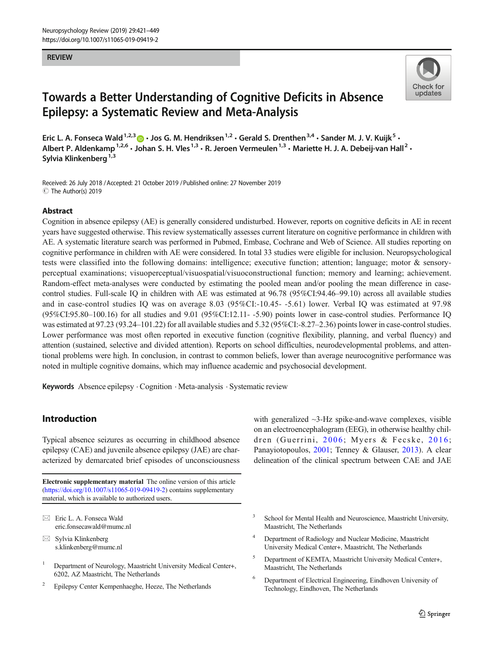### REVIEW



# Towards a Better Understanding of Cognitive Deficits in Absence Epilepsy: a Systematic Review and Meta-Analysis

Eric L. A. Fonseca Wald<sup>1,2,3</sup>  $\cdot$  Jos G. M. Hendriksen<sup>1,2</sup>  $\cdot$  Gerald S. Drenthen<sup>3,4</sup>  $\cdot$  Sander M. J. V. Kuijk<sup>5</sup>  $\cdot$ Albert P. Aldenkamp<sup>1,2,6</sup> · Johan S. H. Vles<sup>1,3</sup> · R. Jeroen Vermeulen<sup>1,3</sup> · Mariette H. J. A. Debeij-van Hall<sup>2</sup> · Sylvia Klinkenberg<sup>1,3</sup>

Received: 26 July 2018 /Accepted: 21 October 2019 /Published online: 27 November 2019  $\circledcirc$  The Author(s) 2019

#### Abstract

Cognition in absence epilepsy (AE) is generally considered undisturbed. However, reports on cognitive deficits in AE in recent years have suggested otherwise. This review systematically assesses current literature on cognitive performance in children with AE. A systematic literature search was performed in Pubmed, Embase, Cochrane and Web of Science. All studies reporting on cognitive performance in children with AE were considered. In total 33 studies were eligible for inclusion. Neuropsychological tests were classified into the following domains: intelligence; executive function; attention; language; motor & sensoryperceptual examinations; visuoperceptual/visuospatial/visuoconstructional function; memory and learning; achievement. Random-effect meta-analyses were conducted by estimating the pooled mean and/or pooling the mean difference in casecontrol studies. Full-scale IQ in children with AE was estimated at 96.78 (95%CI:94.46–99.10) across all available studies and in case-control studies IQ was on average 8.03 (95%CI:-10.45- -5.61) lower. Verbal IQ was estimated at 97.98 (95%CI:95.80–100.16) for all studies and 9.01 (95%CI:12.11- -5.90) points lower in case-control studies. Performance IQ was estimated at 97.23 (93.24–101.22) for all available studies and 5.32 (95%CI:-8.27–2.36) points lower in case-control studies. Lower performance was most often reported in executive function (cognitive flexibility, planning, and verbal fluency) and attention (sustained, selective and divided attention). Reports on school difficulties, neurodevelopmental problems, and attentional problems were high. In conclusion, in contrast to common beliefs, lower than average neurocognitive performance was noted in multiple cognitive domains, which may influence academic and psychosocial development.

Keywords Absence epilepsy . Cognition . Meta-analysis . Systematic review

# Introduction

Typical absence seizures as occurring in childhood absence epilepsy (CAE) and juvenile absence epilepsy (JAE) are characterized by demarcated brief episodes of unconsciousness

Electronic supplementary material The online version of this article (<https://doi.org/10.1007/s11065-019-09419-2>) contains supplementary material, which is available to authorized users.

- $\boxtimes$  Eric L. A. Fonseca Wald [eric.fonsecawald@mumc.nl](mailto:eric.fonsecawald@mumc.nl)
- $\boxtimes$  Sylvia Klinkenberg [s.klinkenberg@mumc.nl](mailto:s.klinkenberg@mumc.nl)
- <sup>1</sup> Department of Neurology, Maastricht University Medical Center+, 6202, AZ Maastricht, The Netherlands
- <sup>2</sup> Epilepsy Center Kempenhaeghe, Heeze, The Netherlands

with generalized  $\sim$ 3-Hz spike-and-wave complexes, visible on an electroencephalogram (EEG), in otherwise healthy children (Guerrini, [2006](#page-27-0); Myers & Fecske, [2016;](#page-28-0) Panayiotopoulos, [2001](#page-28-0); Tenney & Glauser, [2013\)](#page-29-0). A clear delineation of the clinical spectrum between CAE and JAE

- <sup>3</sup> School for Mental Health and Neuroscience, Maastricht University, Maastricht, The Netherlands
- <sup>4</sup> Department of Radiology and Nuclear Medicine, Maastricht University Medical Center+, Maastricht, The Netherlands
- <sup>5</sup> Department of KEMTA, Maastricht University Medical Center+, Maastricht, The Netherlands
- <sup>6</sup> Department of Electrical Engineering, Eindhoven University of Technology, Eindhoven, The Netherlands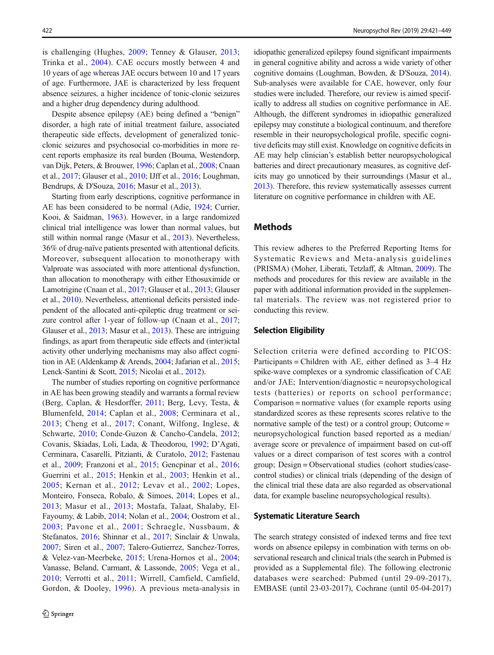is challenging (Hughes, [2009](#page-28-0); Tenney & Glauser, [2013](#page-29-0); Trinka et al., [2004\)](#page-29-0). CAE occurs mostly between 4 and 10 years of age whereas JAE occurs between 10 and 17 years of age. Furthermore, JAE is characterized by less frequent absence seizures, a higher incidence of tonic-clonic seizures and a higher drug dependency during adulthood.

Despite absence epilepsy (AE) being defined a "benign" disorder, a high rate of initial treatment failure, associated therapeutic side effects, development of generalized tonicclonic seizures and psychosocial co-morbidities in more recent reports emphasize its real burden (Bouma, Westendorp, van Dijk, Peters, & Brouwer, [1996;](#page-27-0) Caplan et al., [2008;](#page-27-0) Cnaan et al., [2017](#page-27-0); Glauser et al., [2010](#page-27-0); IJff et al., [2016](#page-28-0); Loughman, Bendrups, & D'Souza, [2016;](#page-28-0) Masur et al., [2013](#page-28-0)).

Starting from early descriptions, cognitive performance in AE has been considered to be normal (Adie, [1924](#page-27-0); Currier, Kooi, & Saidman, [1963\)](#page-27-0). However, in a large randomized clinical trial intelligence was lower than normal values, but still within normal range (Masur et al., [2013](#page-28-0)). Nevertheless, 36% of drug-naïve patients presented with attentional deficits. Moreover, subsequent allocation to monotherapy with Valproate was associated with more attentional dysfunction, than allocation to monotherapy with either Ethosuximide or Lamotrigine (Cnaan et al., [2017](#page-27-0); Glauser et al., [2013](#page-27-0); Glauser et al., [2010\)](#page-27-0). Nevertheless, attentional deficits persisted independent of the allocated anti-epileptic drug treatment or seizure control after 1-year of follow-up (Cnaan et al., [2017](#page-27-0); Glauser et al., [2013;](#page-27-0) Masur et al., [2013\)](#page-28-0). These are intriguing findings, as apart from therapeutic side effects and (inter)ictal activity other underlying mechanisms may also affect cognition in AE (Aldenkamp & Arends, [2004](#page-27-0); Jafarian et al., [2015](#page-28-0); Lenck-Santini & Scott, [2015](#page-28-0); Nicolai et al., [2012\)](#page-28-0).

The number of studies reporting on cognitive performance in AE has been growing steadily and warrants a formal review (Berg, Caplan, & Hesdorffer, [2011](#page-27-0); Berg, Levy, Testa, & Blumenfeld, [2014;](#page-27-0) Caplan et al., [2008;](#page-27-0) Cerminara et al., [2013;](#page-27-0) Cheng et al., [2017;](#page-27-0) Conant, Wilfong, Inglese, & Schwarte, [2010;](#page-27-0) Conde-Guzon & Cancho-Candela, [2012](#page-27-0); Covanis, Skiadas, Loli, Lada, & Theodorou, [1992](#page-27-0); D'Agati, Cerminara, Casarelli, Pitzianti, & Curatolo, [2012](#page-27-0); Fastenau et al., [2009](#page-27-0); Franzoni et al., [2015;](#page-27-0) Gencpinar et al., [2016](#page-27-0); Guerrini et al., [2015;](#page-28-0) Henkin et al., [2003](#page-28-0); Henkin et al., [2005](#page-28-0); Kernan et al., [2012](#page-28-0); Levav et al., [2002;](#page-28-0) Lopes, Monteiro, Fonseca, Robalo, & Simoes, [2014](#page-28-0); Lopes et al., [2013;](#page-28-0) Masur et al., [2013](#page-28-0); Mostafa, Talaat, Shalaby, El-Fayoumy, & Labib, [2014](#page-28-0); Nolan et al., [2004;](#page-28-0) Oostrom et al., [2003](#page-28-0); Pavone et al., [2001;](#page-28-0) Schraegle, Nussbaum, & Stefanatos, [2016;](#page-28-0) Shinnar et al., [2017](#page-29-0); Sinclair & Unwala, [2007;](#page-29-0) Siren et al., [2007](#page-29-0); Talero-Gutierrez, Sanchez-Torres, & Velez-van-Meerbeke, [2015;](#page-29-0) Urena-Hornos et al., [2004](#page-29-0); Vanasse, Beland, Carmant, & Lassonde, [2005;](#page-29-0) Vega et al., [2010;](#page-29-0) Verrotti et al., [2011;](#page-29-0) Wirrell, Camfield, Camfield, Gordon, & Dooley, [1996\)](#page-29-0). A previous meta-analysis in idiopathic generalized epilepsy found significant impairments in general cognitive ability and across a wide variety of other cognitive domains (Loughman, Bowden, & D'Souza, [2014\)](#page-28-0). Sub-analyses were available for CAE, however, only four studies were included. Therefore, our review is aimed specifically to address all studies on cognitive performance in AE. Although, the different syndromes in idiopathic generalized epilepsy may constitute a biological continuum, and therefore resemble in their neuropsychological profile, specific cognitive deficits may still exist. Knowledge on cognitive deficits in AE may help clinician's establish better neuropsychological batteries and direct precautionary measures, as cognitive deficits may go unnoticed by their surroundings (Masur et al., [2013\)](#page-28-0). Therefore, this review systematically assesses current literature on cognitive performance in children with AE.

# Methods

This review adheres to the Preferred Reporting Items for Systematic Reviews and Meta-analysis guidelines (PRISMA) (Moher, Liberati, Tetzlaff, & Altman, [2009\)](#page-28-0). The methods and procedures for this review are available in the paper with additional information provided in the supplemental materials. The review was not registered prior to conducting this review.

#### Selection Eligibility

Selection criteria were defined according to PICOS: Participants = Children with AE, either defined as 3–4 Hz spike-wave complexes or a syndromic classification of CAE and/or JAE; Intervention/diagnostic = neuropsychological tests (batteries) or reports on school performance; Comparison = normative values (for example reports using standardized scores as these represents scores relative to the normative sample of the test) or a control group; Outcome = neuropsychological function based reported as a median/ average score or prevalence of impairment based on cut-off values or a direct comparison of test scores with a control group; Design = Observational studies (cohort studies/casecontrol studies) or clinical trials (depending of the design of the clinical trial these data are also regarded as observational data, for example baseline neuropsychological results).

#### Systematic Literature Search

The search strategy consisted of indexed terms and free text words on absence epilepsy in combination with terms on observational research and clinical trials (the search in Pubmed is provided as a Supplemental file). The following electronic databases were searched: Pubmed (until 29-09-2017), EMBASE (until 23-03-2017), Cochrane (until 05-04-2017)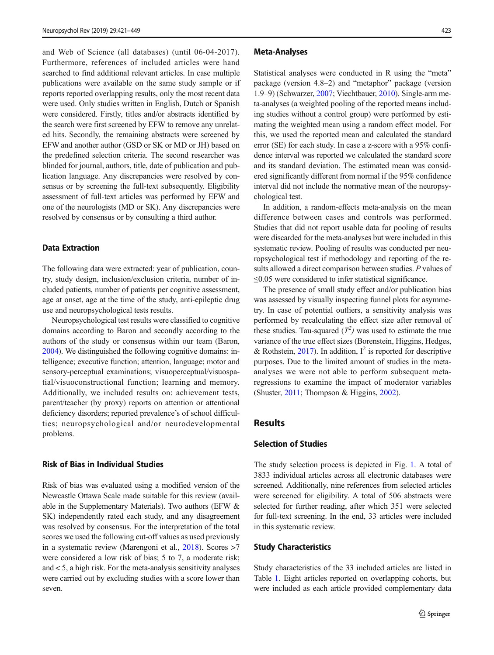and Web of Science (all databases) (until 06-04-2017). Furthermore, references of included articles were hand searched to find additional relevant articles. In case multiple publications were available on the same study sample or if reports reported overlapping results, only the most recent data were used. Only studies written in English, Dutch or Spanish were considered. Firstly, titles and/or abstracts identified by the search were first screened by EFW to remove any unrelated hits. Secondly, the remaining abstracts were screened by EFW and another author (GSD or SK or MD or JH) based on the predefined selection criteria. The second researcher was blinded for journal, authors, title, date of publication and publication language. Any discrepancies were resolved by consensus or by screening the full-text subsequently. Eligibility assessment of full-text articles was performed by EFW and one of the neurologists (MD or SK). Any discrepancies were resolved by consensus or by consulting a third author.

# Data Extraction

The following data were extracted: year of publication, country, study design, inclusion/exclusion criteria, number of included patients, number of patients per cognitive assessment, age at onset, age at the time of the study, anti-epileptic drug use and neuropsychological tests results.

Neuropsychological test results were classified to cognitive domains according to Baron and secondly according to the authors of the study or consensus within our team (Baron, [2004\)](#page-27-0). We distinguished the following cognitive domains: intelligence; executive function; attention, language; motor and sensory-perceptual examinations; visuoperceptual/visuospatial/visuoconstructional function; learning and memory. Additionally, we included results on: achievement tests, parent/teacher (by proxy) reports on attention or attentional deficiency disorders; reported prevalence's of school difficulties; neuropsychological and/or neurodevelopmental problems.

# Risk of Bias in Individual Studies

Risk of bias was evaluated using a modified version of the Newcastle Ottawa Scale made suitable for this review (available in the Supplementary Materials). Two authors (EFW & SK) independently rated each study, and any disagreement was resolved by consensus. For the interpretation of the total scores we used the following cut-off values as used previously in a systematic review (Marengoni et al., [2018\)](#page-28-0). Scores >7 were considered a low risk of bias; 5 to 7, a moderate risk; and < 5, a high risk. For the meta-analysis sensitivity analyses were carried out by excluding studies with a score lower than seven.

#### Meta-Analyses

Statistical analyses were conducted in R using the "meta" package (version 4.8–2) and "metaphor" package (version 1.9–9) (Schwarzer, [2007](#page-29-0); Viechtbauer, [2010](#page-29-0)). Single-arm meta-analyses (a weighted pooling of the reported means including studies without a control group) were performed by estimating the weighted mean using a random effect model. For this, we used the reported mean and calculated the standard error (SE) for each study. In case a z-score with a 95% confidence interval was reported we calculated the standard score and its standard deviation. The estimated mean was considered significantly different from normal if the 95% confidence interval did not include the normative mean of the neuropsychological test.

In addition, a random-effects meta-analysis on the mean difference between cases and controls was performed. Studies that did not report usable data for pooling of results were discarded for the meta-analyses but were included in this systematic review. Pooling of results was conducted per neuropsychological test if methodology and reporting of the results allowed a direct comparison between studies. P values of ≤0.05 were considered to infer statistical significance.

The presence of small study effect and/or publication bias was assessed by visually inspecting funnel plots for asymmetry. In case of potential outliers, a sensitivity analysis was performed by recalculating the effect size after removal of these studies. Tau-squared  $(T^2)$  was used to estimate the true variance of the true effect sizes (Borenstein, Higgins, Hedges, & Rothstein,  $2017$ ). In addition,  $I^2$  is reported for descriptive purposes. Due to the limited amount of studies in the metaanalyses we were not able to perform subsequent metaregressions to examine the impact of moderator variables (Shuster, [2011](#page-29-0); Thompson & Higgins, [2002\)](#page-29-0).

# Results

# Selection of Studies

The study selection process is depicted in Fig. [1](#page-4-0). A total of 3833 individual articles across all electronic databases were screened. Additionally, nine references from selected articles were screened for eligibility. A total of 506 abstracts were selected for further reading, after which 351 were selected for full-text screening. In the end, 33 articles were included in this systematic review.

#### Study Characteristics

Study characteristics of the 33 included articles are listed in Table [1](#page-5-0). Eight articles reported on overlapping cohorts, but were included as each article provided complementary data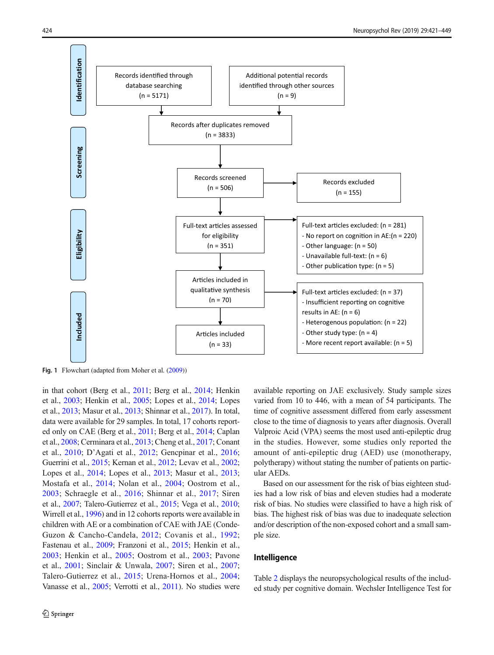<span id="page-4-0"></span>

Fig. 1 Flowchart (adapted from Moher et al. [\(2009\)](#page-28-0))

in that cohort (Berg et al., [2011;](#page-27-0) Berg et al., [2014](#page-27-0); Henkin et al., [2003](#page-28-0); Henkin et al., [2005](#page-28-0); Lopes et al., [2014](#page-28-0); Lopes et al., [2013](#page-28-0); Masur et al., [2013;](#page-28-0) Shinnar et al., [2017](#page-29-0)). In total, data were available for 29 samples. In total, 17 cohorts reported only on CAE (Berg et al., [2011;](#page-27-0) Berg et al., [2014](#page-27-0); Caplan et al., [2008](#page-27-0); Cerminara et al., [2013](#page-27-0); Cheng et al., [2017](#page-27-0); Conant et al., [2010;](#page-27-0) D'Agati et al., [2012;](#page-27-0) Gencpinar et al., [2016](#page-27-0); Guerrini et al., [2015](#page-28-0); Kernan et al., [2012](#page-28-0); Levav et al., [2002](#page-28-0); Lopes et al., [2014;](#page-28-0) Lopes et al., [2013](#page-28-0); Masur et al., [2013](#page-28-0); Mostafa et al., [2014](#page-28-0); Nolan et al., [2004;](#page-28-0) Oostrom et al., [2003](#page-28-0); Schraegle et al., [2016](#page-28-0); Shinnar et al., [2017](#page-29-0); Siren et al., [2007;](#page-29-0) Talero-Gutierrez et al., [2015](#page-29-0); Vega et al., [2010](#page-29-0); Wirrell et al., [1996](#page-29-0)) and in 12 cohorts reports were available in children with AE or a combination of CAE with JAE (Conde-Guzon & Cancho-Candela, [2012;](#page-27-0) Covanis et al., [1992](#page-27-0); Fastenau et al., [2009;](#page-27-0) Franzoni et al., [2015](#page-27-0); Henkin et al., [2003](#page-28-0); Henkin et al., [2005](#page-28-0); Oostrom et al., [2003;](#page-28-0) Pavone et al., [2001](#page-28-0); Sinclair & Unwala, [2007](#page-29-0); Siren et al., [2007](#page-29-0); Talero-Gutierrez et al., [2015](#page-29-0); Urena-Hornos et al., [2004](#page-29-0); Vanasse et al., [2005](#page-29-0); Verrotti et al., [2011](#page-29-0)). No studies were available reporting on JAE exclusively. Study sample sizes varied from 10 to 446, with a mean of 54 participants. The time of cognitive assessment differed from early assessment close to the time of diagnosis to years after diagnosis. Overall Valproic Acid (VPA) seems the most used anti-epileptic drug in the studies. However, some studies only reported the amount of anti-epileptic drug (AED) use (monotherapy, polytherapy) without stating the number of patients on particular AEDs.

Based on our assessment for the risk of bias eighteen studies had a low risk of bias and eleven studies had a moderate risk of bias. No studies were classified to have a high risk of bias. The highest risk of bias was due to inadequate selection and/or description of the non-exposed cohort and a small sample size.

#### Intelligence

Table [2](#page-7-0) displays the neuropsychological results of the included study per cognitive domain. Wechsler Intelligence Test for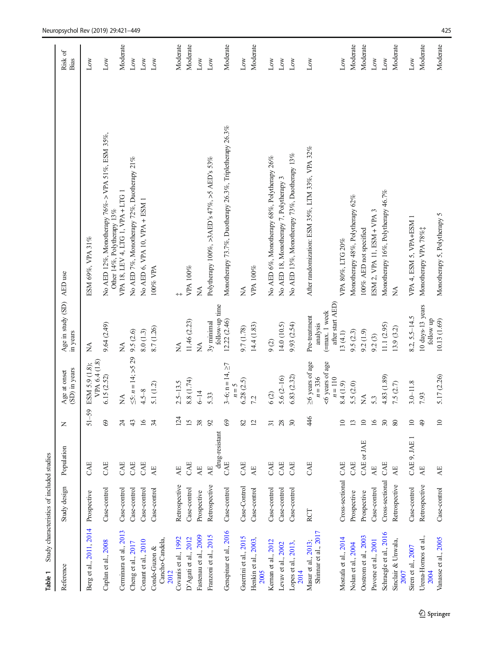<span id="page-5-0"></span>

| Reference                                  | Study design    | Population           | Z               |                                                              | Age in study (SD)                                              | AED use                                                         | Risk of         |
|--------------------------------------------|-----------------|----------------------|-----------------|--------------------------------------------------------------|----------------------------------------------------------------|-----------------------------------------------------------------|-----------------|
|                                            |                 |                      |                 | Age at onset<br>(SD) in years                                | in years                                                       |                                                                 | Bias            |
| Berg et al., 2011, 2014                    | Prospective     | CAE                  | $51 - 59$       | VPA 6.4 (1.8)<br>ESM 5.9 (1.8);                              | $\stackrel{\Delta}{\simeq}$                                    | ESM 69%, VPA 31%                                                | $_{\text{Low}}$ |
| Caplan et al., 2008                        | Case-control    | CAE                  | $69$            | 6.15 (2.52)                                                  | 9.64 (2.49)                                                    | No AED 12%, Monotherapy 76% -> VPA 51%, ESM 35%,                | $_{\rm Low}$    |
| Cerminara et al., 2013                     | Case-control    | CAE                  | 24              | $\stackrel{\blacktriangle}{\simeq}$                          | $\mathbb{X}$                                                   | VPA 18, LEV 4, LTG 1, VPA + LTG 1<br>Other 14%, Polytherapy 13% | Moderate        |
| Cheng et al., 2017                         | Case-control    | CAE                  | 43              | $\leq$ 5: $n = 14$ ; > 529                                   | 9.5 (2.6)                                                      | No AED 7%, Monotherapy 72%, Duotherapy 21%                      | $_{\rm Low}$    |
| Conant et al., 2010                        | Case-control    | CAE                  | 16              | $4.5 - 8$                                                    | 8.0 (1.3)                                                      | No AED 6, VPA 10, VPA + ESM 1                                   | $_{\rm Low}$    |
| Cancho-Candela,<br>Conde-Guzon &<br>2012   | Case-control    | AE                   | 34              | $5.1\,(1.2)$                                                 | 8.7 (1.26)                                                     | 100% VPA                                                        | Low             |
| Covanis et al., 1992                       | Retrospective   | AE                   | 124             | $2.5 - 13.5$                                                 | $\breve{\mathsf{z}}$                                           |                                                                 | Moderate        |
| D'Agati et al., 2012                       | Case-control    | CAE                  | 15              | 8.8 (1.74)                                                   | 11.46 (2.23)                                                   | VPA 100%                                                        | Moderate        |
| Fastenau et al., 2009                      | Prospective     | AE                   | $38$            | $6 - 14$                                                     | $\tilde{\ge}$                                                  | ₹                                                               | $_{\text{Low}}$ |
| Franzoni et al., 2015                      | Retrospective   | drug-resistant<br>AE | 92              | 33<br>5.                                                     | follow-up time<br>3y minimal                                   | Polytherapy 100%, >3AED's 47%, >5 AED's 53%                     | $_{\rm Low}$    |
| Gencpinar et al., 2016                     | Case-control    | CAE                  | 69              | $3-6$ ; $n = 14$ , $\geq 7$<br>$n = 5$                       | 12.22(2.46)                                                    | Monotherapy 73.7%, Duotherapy 26.3%, Tripletherapy 26.3%        | Moderate        |
| Guerrini et al., 2015                      | Case-Control    | CAE                  | $82\,$          | 6.28(2.5)                                                    | 9.7 (1.78)                                                     | Ź                                                               | $_{\text{Low}}$ |
| Henkin et al., 2003,<br>2005               | Case-control    | AE                   | 12              | 7.2                                                          | 14.4 (1.83)                                                    | VPA 100%                                                        | Moderate        |
| Kernan et al., 2012                        | Case-control    | CAE                  | $\overline{31}$ | $\widehat{\mathcal{O}}$<br>$\circ$                           | 9(2)                                                           | No AED 6%, Monotherapy 68%, Polytherapy 26%                     | $_{\rm Low}$    |
| Levav et al., 2002                         | Case-control    | CAE                  | $28$            | $.6(2-16)$<br>n                                              | 14.0 (10.5)                                                    | No AED 18, Monotherapy 7, Polytherapy 3                         | $_{\rm Low}$    |
| Lopes et al., 2013,<br>2014                | Case-control    | CAE                  | 30              | 6.83 (2.32)                                                  | 9.93 (2.54)                                                    | No AED 13%, Monotherapy 73%, Duotherapy 13%                     | $_{\rm Low}$    |
| Shimar et al., 2017<br>Masur et al., 2013; | RCT             | CAE                  | 446             | <6 years of age<br>≥6 years of age<br>$n = 336$<br>$n = 110$ | after start AED)<br>(=max. 1 week<br>Pre-treatment<br>analysis | After randomization: ESM 35%, LTM 33%, VPA 32%                  | Low             |
| Mostafa et al., 2014                       | Cross-sectional | CAE                  | $\overline{10}$ | 8.4 (1.9)                                                    | 13(4.1)                                                        | VPA 80%, LTG 20%                                                | $_{\text{Low}}$ |
| Nolan et al., 2004                         | Prospective     | CAE                  | 13              | 5.5 $(2.0)$                                                  | 9.5(2.3)                                                       | Monotherapy 48%, Polytherapy 62%                                | Moderate        |
| Oostrom et al., 2003                       | Prospective     | CAE or JAE           | $\overline{10}$ | $\stackrel{\triangle}{\simeq}$                               | 9.2(1.9)                                                       | 100% AED not specified                                          | Moderate        |
| Pavone et al., 2001                        | Case-control    | $\mathsf{AE}$        | 16              | 5.3                                                          | 9.2(3)                                                         | ESM 2, VPA 11, ESM + VPA 3                                      | $_{\text{Low}}$ |
| Schraegle et al., 2016                     | Cross-sectional | CAE                  | 30              | 4.83 (1.89)                                                  | 11.1 (2.95)                                                    | Monotherapy 16%, Polytherapy 46.7%                              | $_{\text{Low}}$ |
| Sinclair & Unwala,<br><b>2007</b>          | Retrospective   | AE                   | $80\,$          | 7.5(2.7)                                                     | 13.9 (3.2)                                                     | $\mathbb{X}^{\mathsf{A}}$                                       | Moderate        |
| Siren et al., 2007                         | Case-control    | CAE 9, JAE 1         | $\equiv$        | $3.0 - 11.8$<br>7.93                                         | $8.2, 5.5 - 14.5$                                              | VPA 4, ESM 5, VPA+ESM 1                                         | $_{\text{Low}}$ |
| Urena-Hornos et al.,<br>2004               | Retrospective   | AE                   | 49              |                                                              | 10 days-13 years<br>follow up                                  | Monotherapy VPA 78%#                                            | Moderate        |
| Vanasse et al., 2005                       | Case-control    | <b>AE</b>            | $\overline{10}$ | .17 (2.26)<br>n                                              | 10.13 (1.69)                                                   | Monotherapy 5, Polytherapy 5                                    | Moderate        |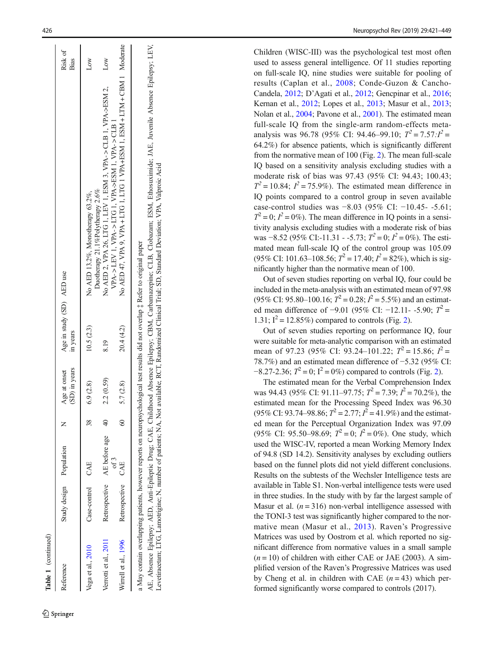|  | ×<br>$\sim$ |
|--|-------------|
|  |             |

| Table 1 (continued)   |                         |                             |                       |                               |                                       |                                                                                                                                                                                                                                                                                                                                                                                                                                                                          |                 |
|-----------------------|-------------------------|-----------------------------|-----------------------|-------------------------------|---------------------------------------|--------------------------------------------------------------------------------------------------------------------------------------------------------------------------------------------------------------------------------------------------------------------------------------------------------------------------------------------------------------------------------------------------------------------------------------------------------------------------|-----------------|
| Reference             | Study design Population |                             |                       | (SD) in years<br>Age at onset | Age in study (SD) AED use<br>in years |                                                                                                                                                                                                                                                                                                                                                                                                                                                                          | Risk of<br>Bias |
| Vega et al., 2010     | Case-control CAE        |                             | $\tilde{\mathcal{X}}$ | 6.9(2.8)                      | 10.5(2.3)                             | No AED 13.2%, Monotherapy 63.2%,                                                                                                                                                                                                                                                                                                                                                                                                                                         | ŠΜ              |
| Verrotti et al., 2011 |                         | Retrospective AE before age |                       | 2.2(0.59)                     | 8.19                                  | No AED 2, VPA 26, LTG 1, LEV 1, ESM 3, VPA > CLB 1, VPA >ESM 2,<br>Duotherapy 21.1%Polytherapy 2.6%                                                                                                                                                                                                                                                                                                                                                                      | Low             |
| Wirrell et al., 1996  | Retrospective           | of 3<br>CAE                 |                       | 5.7(2.8)                      | 20.4 (4.2)                            | No AED 47, VPA 9, VPA + LTG 1, LTG 1 VPA+ESM 1, ESM + LTM + CBM 1 Moderate<br>VPA->LEV 1, VPA->LTG 1, VPA->ESM 1, VPA->CLB 1                                                                                                                                                                                                                                                                                                                                             |                 |
|                       |                         |                             |                       |                               |                                       | AE, Absence Epilepsy; AED, Anti-Epileptic Drug; CAE, Childhood Absence Epilepsy; CBM, Carbamazepine; CLB, Clobazam; ESM, Ethosuximide; JAE, Juvenile Absence Epilepsy; LEV,<br>Levetiracetam; LTG, Lamotrigine; N, number of patients; NA, Not available; RCT, Randomized Clinical Trial; SD, Standard Deviation; VPA, Valproic Acid<br>a May contain overlapping patients, however reports on neuropsychological test results did not overlap ‡ Refer to original paper |                 |

Children (WISC-III) was the psychological test most often used to assess general intelligence. Of 11 studies reporting on full-scale IQ, nine studies were suitable for pooling of results (Caplan et al., [2008](#page-27-0); Conde-Guzon & Cancho-Candela, [2012](#page-27-0); D'Agati et al., [2012;](#page-27-0) Gencpinar et al., [2016;](#page-27-0) Kernan et al., [2012](#page-28-0); Lopes et al., [2013;](#page-28-0) Masur et al., [2013](#page-28-0); Nolan et al., [2004](#page-28-0); Pavone et al., [2001](#page-28-0)). The estimated mean full-scale IQ from the single-arm random-effects metaanalysis was 96.78 (95% CI: 94.46–99.10;  $T^2 = 7.57$ : $I^2 =$ 64.2%) for absence patients, which is significantly different from the normative mean of 100 (Fig. [2\)](#page-21-0). The mean full-scale IQ based on a sensitivity analysis excluding studies with a moderate risk of bias was 97.43 (95% CI: 94.43; 100.43;  $T^2 = 10.84$ ;  $I^2 = 75.9\%$ ). The estimated mean difference in IQ points compared to a control group in seven available case-control studies was −8.03 (95% CI: −10.45- -5.61;  $T^2 = 0$ ;  $T^2 = 0$ %). The mean difference in IQ points in a sensitivity analysis excluding studies with a moderate risk of bias was  $-8.52$  (95% CI:-11.31 - -5.73;  $T^2 = 0$ ;  $T^2 = 0$ %). The estimated mean full-scale IQ of the control group was 105.09 (95% CI: 101.63–108.56;  $T^2 = 17.40$ ;  $T^2 = 82%$ ), which is significantly higher than the normative mean of 100.

Out of seven studies reporting on verbal IQ, four could be included in the meta-analysis with an estimated mean of 97.98 (95% CI: 95.80–100.16;  $T^2 = 0.28$ ;  $T^2 = 5.5\%$ ) and an estimated mean difference of −9.01 (95% CI: −12.11- -5.90;  $T^2$  = 1.31;  $I^2 = 12.85\%$  $I^2 = 12.85\%$  $I^2 = 12.85\%$ ) compared to controls (Fig. 2).

Out of seven studies reporting on performance IQ, four were suitable for meta-analytic comparison with an estimated mean of 97.23 (95% CI: 93.24–101.22;  $T^2 = 15.86$ ;  $T^2 =$ 78.7%) and an estimated mean difference of −5.32 (95% CI:  $-8.27 - 2.36$ ;  $T^2 = 0$ ;  $I^2 = 0\%$ ) compared to controls (Fig. [2\)](#page-21-0).

The estimated mean for the Verbal Comprehension Index was 94.43 (95% CI: 91.11–97.75;  $T^2 = 7.39$ ;  $T^2 = 70.2\%$ ), the estimated mean for the Processing Speed Index was 96.30 (95% CI: 93.74–98.86;  $T^2 = 2.77$ ;  $T^2 = 41.9$ %) and the estimated mean for the Perceptual Organization Index was 97.09 (95% CI: 95.50–98.69;  $T^2 = 0$ ;  $I^2 = 0$ %). One study, which used the WISC-IV, reported a mean Working Memory Index of 94.8 (SD 14.2). Sensitivity analyses by excluding outliers based on the funnel plots did not yield different conclusions. Results on the subtests of the Wechsler Intelligence tests are available in Table S1. Non-verbal intelligence tests were used in three studies. In the study with by far the largest sample of Masur et al.  $(n=316)$  non-verbal intelligence assessed with the TONI-3 test was significantly higher compared to the normative mean (Masur et al., [2013](#page-28-0)). Raven's Progressive Matrices was used by Oostrom et al. which reported no significant difference from normative values in a small sample  $(n = 10)$  of children with either CAE or JAE (2003). A simplified version of the Raven's Progressive Matrices was used by Cheng et al. in children with CAE  $(n=43)$  which performed significantly worse compared to controls (2017).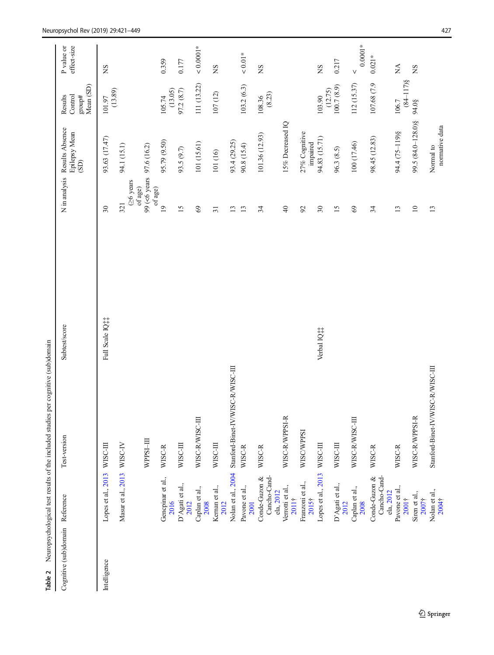<span id="page-7-0"></span>

| Table 2                         |                                            | Neuropsychological test results of the included studies per cognitive (sub)domain |                        |                                    |                                          |                                                                                      |                                |
|---------------------------------|--------------------------------------------|-----------------------------------------------------------------------------------|------------------------|------------------------------------|------------------------------------------|--------------------------------------------------------------------------------------|--------------------------------|
| Cognitive (sub)domain Reference |                                            | Test-version                                                                      | Subtest/score          | N in analysis                      | Results Absence<br>Epilepsy Mean<br>(SD) | $\begin{array}{c} \text{group} \ \text{Mean (SD)} \end{array}$<br>Control<br>Results | P value or<br>effect-size      |
| Intelligence                    | Lopes et al., 2013 WISC-III                |                                                                                   | Full Scale IQ##        | 30                                 | 93.63 (17.47)                            | 101.97                                                                               | SN                             |
|                                 | Masur et al., 2013 WISC-IV                 |                                                                                   |                        | $(26 \text{ years})$<br>321        | 94.1 (15.1)                              | (13.89)                                                                              |                                |
|                                 |                                            | WPPS1-III                                                                         |                        | 99 (<6 years<br>of age)<br>of age) | 97.6 (16.2)                              |                                                                                      |                                |
|                                 | Genepinar et al.,<br>2016                  | WISC-R                                                                            |                        | $\overline{19}$                    | 95.79 (9.50)                             | (13.05)<br>105.74                                                                    | 0.359                          |
|                                 | D'Agati et al.,<br>2012                    | WISC-III                                                                          |                        | 15                                 | 93.5 (9.7)                               | 97.2(8.7)                                                                            | 0.177                          |
|                                 | Caplan et al.,<br>2008                     | WISC-R/WISC-III                                                                   |                        | $69$                               | 101 (15.61)                              | 111 (13.22)                                                                          | $< 0.0001*$                    |
|                                 | Kernan et al.,<br>2012                     | WISC-III                                                                          |                        | $\overline{31}$                    | 101 (16)                                 | 107 (12)                                                                             | SN                             |
|                                 | Nolan et al., 2004                         | Stanford-Binet-IV/WISC-R/WISC-III                                                 |                        | 13                                 | 93.4 (29.25)                             |                                                                                      |                                |
|                                 | Pavone et al.,<br>2001                     | WISC-R                                                                            |                        | 13                                 | 90.8 (15.4)                              | 103.2(6.3)                                                                           | ${}_{0.01*}$                   |
|                                 | Cancho-Cand-<br>Conde-Guzon &              | WISC-R                                                                            |                        | 34                                 | 101.36 (12.93)                           | (8.23)<br>108.36                                                                     | SN                             |
|                                 | Verrotti et al.,<br>ela, 2012              | WISC-R/WPPSI-R                                                                    |                        | $\overline{4}$                     | 15% Decreased IQ                         |                                                                                      |                                |
|                                 | Franzoni et al.,<br>2011†<br>2015†         | WISC/WPPSI                                                                        |                        | $\mathcal{S}$                      | 27% Cognitive<br>impaired                |                                                                                      |                                |
|                                 | Lopes et al., 2013 WISC-III                |                                                                                   | Verbal IQ <sub>1</sub> | $30\,$                             | 94.83 (15.71)                            | 103.90                                                                               | SN                             |
|                                 | D'Agati et al.,<br>2012                    | WISC-III                                                                          |                        | 15                                 | 96.3 (8.5)                               | $(12.75)$<br>100.7 (8.9)                                                             | 0.217                          |
|                                 | Caplan et al.,<br>2008                     | WISC-R/WISC-III                                                                   |                        | $69$                               | 100 (17.46)                              | 112 (15.37)                                                                          | $0.0001*$<br>$\vee$            |
|                                 | Cancho-Cand-<br>Conde-Guzon &<br>ela, 2012 | WISC-R                                                                            |                        | 34                                 | 98.45 (12.83)                            | 107.68 (7.9                                                                          | $0.021*$                       |
|                                 | Pavone et al.,<br>$20011 +$                | WISC-R                                                                            |                        | 13                                 | 94.4 (75-119) §                          | $(84 - 117)$ §<br>106.7                                                              | $\stackrel{\triangle}{\simeq}$ |
|                                 | Siren et al.,<br>2007†                     | WISC-R/WPPSI-R                                                                    |                        | $\overline{10}$                    | 99.5 (84.0-128.0)§                       | 94.0§                                                                                | SN                             |
|                                 | Nolan et al.,<br>2004                      | Stanford-Binet-IV/WISC-R/WISC-III                                                 |                        | 13                                 | normative data<br>Normal to              |                                                                                      |                                |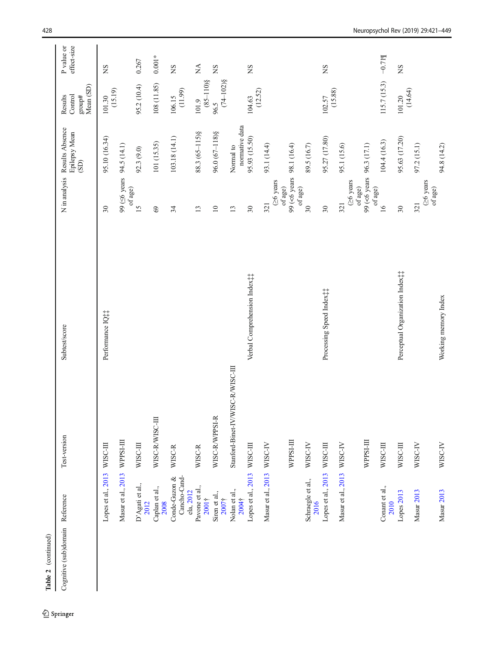| Table 2 (continued)             |                                            |                                   |                                             |                                      |                                          |                                           |                                |
|---------------------------------|--------------------------------------------|-----------------------------------|---------------------------------------------|--------------------------------------|------------------------------------------|-------------------------------------------|--------------------------------|
| Cognitive (sub)domain Reference |                                            | Test-version                      | Subtest/score                               | N in analysis                        | Results Absence<br>Epilepsy Mean<br>(SD) | Mean (SD)<br>Results<br>Control<br>group# | P value or<br>effect-size      |
|                                 | Lopes et al., 2013 WISC-III                |                                   | Performance IQ <sub>+</sub>                 | $30\,$                               | 95.10 (16.34)                            | 101.30                                    | ŠN                             |
|                                 | Masur et al., 2013 WPPSI-III               |                                   |                                             | 99 ( $\leq 6$ years                  | 94.5 (14.1)                              | (15.19)                                   |                                |
|                                 | D'Agati et al.,<br>2012                    | WISC-III                          |                                             | of age)<br>15                        | 92.3 (9.0)                               | 95.2 (10.4)                               | 0.267                          |
|                                 | Caplan et al.,<br>2008                     | WISC-R/WISC-III                   |                                             | 69                                   | 101 (15.35)                              | 108 (11.85)                               | $0.001*$                       |
|                                 | Cancho-Cand-<br>Conde-Guzon &<br>ela, 2012 | WISC-R                            |                                             | 34                                   | 103.18 (14.1)                            | (11.99)<br>106.15                         | SN                             |
|                                 | Pavone et al.,<br>$20011 +$                | WISC-R                            |                                             | 13                                   | 88.3 (65-115) §                          | $86 - 110$<br>101.9                       | $\stackrel{\triangle}{\simeq}$ |
|                                 | Siren et al.,<br>2007†                     | WISC-R/WPPSI-R                    |                                             | $\overline{10}$                      | 96.0 (67-118) §                          | $(74 - 102)$ §<br>96.5                    | SN                             |
|                                 | Nolan et al.,<br>20041                     | Stanford-Binet-IV/WISC-R/WISC-III |                                             | 13                                   | normative data<br>Normal to              |                                           |                                |
|                                 | Lopes et al., 2013 WISC-III                |                                   | Verbal Comprehension Index <sub>#</sub>     | $30\,$                               | 95.93 (15.50)                            | 104.63                                    | SN                             |
|                                 | Masur et al., 2013 WISC-IV                 |                                   |                                             | $\geq 6$ years<br>321                | 93.1 (14.4)                              | (12.52)                                   |                                |
|                                 |                                            | WPPSI-III                         |                                             | 99 ( $6$ years<br>of age)            | 98.1 (16.4)                              |                                           |                                |
|                                 | Schraegle et al.,                          | WISC-IV                           |                                             | of age)<br>$30\,$                    | 89.5 (16.7)                              |                                           |                                |
|                                 | Lopes et al., 2013 WISC-III<br>2016        |                                   | Processing Speed Index <sub>11</sub>        | $30\,$                               | 95.27 (17.80)                            | 102.57                                    | SN                             |
|                                 | Masur et al., 2013 WISC-IV                 |                                   |                                             | $(26 \text{ years})$<br>321          | 95.1 (15.6)                              | (15.88)                                   |                                |
|                                 |                                            | WPPSI-III                         |                                             | 99 ( $6$ years<br>of age)<br>of age) | 96.3 (17.1)                              |                                           |                                |
|                                 | Conant et al.,<br>2010                     | WISC-III                          |                                             | $\overline{16}$                      | 104.4(16.3)                              | 115.7 (15.3)                              | $-0.71$                        |
|                                 | Lopes 2013                                 | WISC-III                          | Perceptual Organization Index <sub>##</sub> | 30                                   | 95.63 (17.20)                            | 101.20                                    | SN                             |
|                                 | Masur 2013                                 | WISC-IV                           |                                             | $(26$ years<br>321                   | 97.2 (15.1)                              | (14.64)                                   |                                |
|                                 | <b>Masur 2013</b>                          | WISC-IV                           | Working memory Index                        | of $age)$                            | 94.8 (14.2)                              |                                           |                                |

428 Neuropsychol Rev (2019) 29:421 –449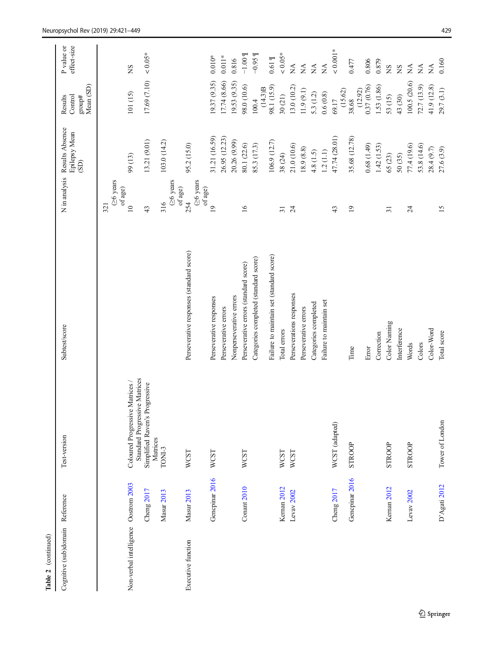| Table 2 (continued)                  |                |                                                                 |                                          |                                                    |                                          |                                           |                                              |
|--------------------------------------|----------------|-----------------------------------------------------------------|------------------------------------------|----------------------------------------------------|------------------------------------------|-------------------------------------------|----------------------------------------------|
| Cognitive (sub)domain                | Reference      | Test-version                                                    | Subtest/score                            | N in analysis                                      | Results Absence<br>Epilepsy Mean<br>(SD) | Mean (SD)<br>Results<br>Control<br>group# | P value or<br>effect-size                    |
| Non-verbal intelligence Oostrom 2003 |                | Coloured Progressive Matrices /                                 |                                          | $\geq 6$ years<br>of age)<br>321<br>$\approx$      | 99(13)                                   | 101(15)                                   | SN                                           |
|                                      | Cheng 2017     | Standard Progressive Matrices<br>Simplified Raven's Progressive |                                          | 43                                                 | 13.21 (9.01)                             | 17.69 (7.10)                              | $< 0.05*$                                    |
|                                      | Masur 2013     | Matrices<br>TONI-3                                              |                                          | 316                                                | 103.0(14.2)                              |                                           |                                              |
| Executive function                   | Masur 2013     | <b>WCST</b>                                                     | Perseverative responses (standard score) | $(26$ years<br>of age)<br>254                      | 95.2 (15.0)                              |                                           |                                              |
|                                      | Gencpinar 2016 | <b>WCST</b>                                                     | Perseverative responses                  | $(26 \text{ years})$<br>of age)<br>$\overline{19}$ | 31.21 (16.59)                            | (9.37(9.35)                               | $0.010*$                                     |
|                                      |                |                                                                 | Perseverative errors                     |                                                    | 26.95 (12.23)                            | 17.74(8.66)                               | $0.011*$                                     |
|                                      |                |                                                                 | Nonperseverative errors                  |                                                    | 20.26 (9.99)                             | (9.53(9.35))                              | 0.816                                        |
|                                      | Conant 2010    | <b>WCST</b>                                                     | Perseverative errors (standard score)    | $\overline{16}$                                    | 80.1 (22.6)                              | 98.0 (10.6)                               | $-1.00$ $\displaystyle{\mathop{\mathbb{T}}}$ |
|                                      |                |                                                                 | Categories completed (standard score)    |                                                    | 85.3 (17.3)                              | 100.4                                     | $-0.95$ [                                    |
|                                      |                |                                                                 | Failure to maintain set (standard score) |                                                    | 106.9 (12.7)                             | 98.1 (15.9)<br>(14.3)B                    | $0.61~\mathrm{\mathord{\mathbb{I}}}$         |
|                                      | Kernan 2012    | <b>WCST</b>                                                     | Total errors                             | $\overline{31}$                                    | 38 (24)                                  | 30(21)                                    | $< 0.05*$                                    |
|                                      | Levav 2002     | WCST                                                            | Perseverations responses                 | $\overline{24}$                                    | 21.0 (10.6)                              | 13.0(10.2)                                | $\lessapprox$                                |
|                                      |                |                                                                 | Perseverative errors                     |                                                    | 18.9(8.8)                                | 11.9(9.1)                                 | $\lessgtr$                                   |
|                                      |                |                                                                 | Categories completed                     |                                                    | 4.8(1.5)                                 | 5.3 (1.2)                                 | $\stackrel{\triangle}{\geq}$                 |
|                                      |                |                                                                 | Failure to maintain set                  |                                                    | 1.2(1.1)                                 | 0.6(0.8)                                  | $\lesssim$                                   |
|                                      | Cheng 2017     | WCST (adapted)                                                  |                                          | 43                                                 | 47.74 (28.01)                            | 69.17                                     | $< 0.001*$                                   |
|                                      | Gencpinar 2016 | <b>STROOP</b>                                                   | $\ensuremath{\text{Time}}$               | $\overline{19}$                                    | 35.68 (12.78)                            | $(15.62)$<br>$38.68$                      | 0.477                                        |
|                                      |                |                                                                 | Error                                    |                                                    | 0.68(1.49)                               | 0.37 (0.76)<br>(12.92)                    | 0.806                                        |
|                                      |                |                                                                 | Correction                               |                                                    | 1.42(1.53)                               | 1.53 (1.86)                               | 0.879                                        |
|                                      | Kernan 2012    | <b>STROOP</b>                                                   | Color Naming                             | $\overline{31}$                                    | 65 (23)                                  | 53 (15)                                   | SN                                           |
|                                      |                |                                                                 | Interference                             |                                                    | 50(35)                                   | 43 (30)                                   | SN                                           |
|                                      | Levay 2002     | STROOP                                                          | Words                                    | 24                                                 | 77.4 (19.6)                              | 100.5(20.6)                               | $\lessapprox$                                |
|                                      |                |                                                                 | Colors                                   |                                                    | 53.8 (14.6)                              | 72.7 (13.9)                               | $\lessapprox$                                |
|                                      |                |                                                                 | Color-Word                               |                                                    | 28.4(9.7)                                | 41.9 (12.8)                               | $\stackrel{\Delta}{\simeq}$                  |
|                                      | D'Agati 2012   | Tower of London                                                 | Total score                              | 15                                                 | 27.6 (3.9)                               | 29.7(3.1)                                 | 0.160                                        |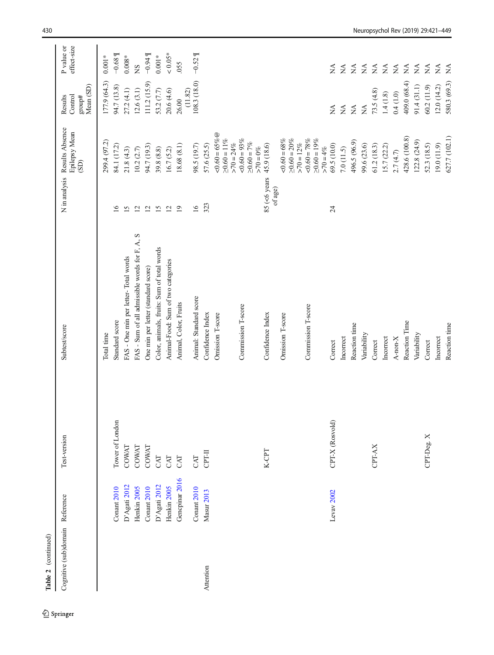| Table 2 (continued)             |                         |                 |                                               |                 |                                          |                                                                                               |                           |
|---------------------------------|-------------------------|-----------------|-----------------------------------------------|-----------------|------------------------------------------|-----------------------------------------------------------------------------------------------|---------------------------|
| Cognitive (sub)domain Reference |                         | Test-version    | Subtest/score                                 | N in analysis   | Results Absence<br>Epilepsy Mean<br>(SD) | $\operatorname*{group\!H}\nolimits_{\mathsf{Mean}}(\operatorname*{SD})$<br>Control<br>Results | effect-size<br>P value or |
|                                 |                         |                 | Total time                                    |                 | 299.4 (97.2)                             | 177.9 (64.3)                                                                                  | $0.001*$                  |
|                                 | Conant 2010             | Tower of London | Standard score                                | $\frac{6}{2}$   | 84.1 (17.2)                              | 94.7 (13.8)                                                                                   | $-0.68$ T                 |
|                                 | D'Agati 2012            | COWAT           | FAS - One min per letter-Total words          | 15              | 21.8(4.3)                                | 27.2(4.1)                                                                                     | $0.008\,ast$              |
|                                 | Henkin 2005             | COWAT           | FAS - Sum of all admissible words for F, A, S | $\overline{c}$  | 10.2(2.7)                                | 12.6(3.1)                                                                                     | $\overline{S}$            |
|                                 | <b>Conant 2010</b>      | COWAT           | One min per letter (standard score)           | $\overline{c}$  | 94.7 (19.3)                              | 111.2 (15.9)                                                                                  | $-0.94$ [                 |
|                                 | $D^{\prime}$ Agati 2012 | CAT             | Color, animals, fruits: Sum of total words    | 15              | 39.8 (8.8)                               | 53.2 (7.7)                                                                                    | $0.001*$                  |
|                                 | Henkin 2005             | CAT             | Animal-Food: Sum of two categories            | $\overline{c}$  | 16.7(5.2)                                | 20.6(4.6)                                                                                     | ${}< 0.05*$               |
|                                 | Gencpinar 2016          | CAT             | Animal, Color, Fruits                         | $\overline{19}$ | 18.68(8.1)                               | 26.00                                                                                         | .055                      |
|                                 | Conant 2010             | CAT             | Animal: Standard score                        | $\overline{16}$ | 98.5 (19.7)                              | 108.3(18.0)<br>(11.82)                                                                        | $-0.52$ ¶                 |
| Attention                       | Masur 2013              | CPT-II          | Confidence Index                              | 323             | 57.6 (25.5)                              |                                                                                               |                           |
|                                 |                         |                 |                                               |                 | $0.60 = 65\%$                            |                                                                                               |                           |
|                                 |                         |                 | Omission T-score                              |                 | $\geq 0.60 = 11\%$                       |                                                                                               |                           |
|                                 |                         |                 |                                               |                 | $>70 = 24\%$                             |                                                                                               |                           |
|                                 |                         |                 | Commission T-score                            |                 | $0.60 = 93\%$                            |                                                                                               |                           |
|                                 |                         |                 |                                               |                 | $\geq 0.60 = 7\%$<br>${>}{70} = 0\%$     |                                                                                               |                           |
|                                 |                         | K-CPT           | Confidence Index                              | 85 (< $6$ years | 45.9 (18.6)                              |                                                                                               |                           |
|                                 |                         |                 |                                               | of age)         |                                          |                                                                                               |                           |
|                                 |                         |                 | Omission T-score                              |                 | $0.60 = 68\%$                            |                                                                                               |                           |
|                                 |                         |                 |                                               |                 | $\geq 0.60 = 20\%$                       |                                                                                               |                           |
|                                 |                         |                 |                                               |                 | $>70 = 12\%$                             |                                                                                               |                           |
|                                 |                         |                 | Commission T-score                            |                 | $0.60 = 78\%$<br>$\geq 0.60 = 19\%$      |                                                                                               |                           |
|                                 |                         |                 |                                               |                 | $50 = 4\%$                               |                                                                                               |                           |
|                                 | Levav 2002              | CPT-X (Rosvold) | Correct                                       | 24              | 69.5 (10.0)                              | $\sum_{i=1}^{n}$                                                                              | $\mathfrak{Z}$            |
|                                 |                         |                 | Incorrect                                     |                 | 7.0(11.5)                                | $\lessgtr$                                                                                    | $\tilde{\ge}$             |
|                                 |                         |                 | Reaction time                                 |                 | 496.5 (96.9)                             | $\stackrel{\blacktriangle}{\geq}$                                                             | $\tilde{z}$               |
|                                 |                         |                 | Variability                                   |                 | 99.6 (23.6)                              | $\mathbb{A}$                                                                                  | $\tilde{z}$               |
|                                 |                         | CPT-AX          | Correct                                       |                 | 61.2(18.3)                               | 73.5(4.8)                                                                                     | $\lessapprox$             |
|                                 |                         |                 | Incorrect                                     |                 | 15.7 (22.2)                              | 1.4(1.8)                                                                                      | $\lessapprox$             |
|                                 |                         |                 | $A$ -non- $X$                                 |                 | 2.7(4.7)                                 | 0.4(1.0)                                                                                      | $\lessapprox$             |
|                                 |                         |                 | Reaction Time                                 |                 | 428.6 (100.8)                            | 409.0 (68.4)                                                                                  | $\tilde{z}$               |
|                                 |                         |                 | Variability                                   |                 | 122.8 (24.9)                             | 91.4 (31.1)                                                                                   | $\tilde{z}$               |
|                                 |                         | CPT-Deg. X      | Correct                                       |                 | 52.3 (18.5)                              | 60.2(11.9)                                                                                    | $\tilde{z}$               |
|                                 |                         |                 | Incorrect                                     |                 | 19.0 (11.9)                              | 12.0(14.2)                                                                                    | $\sum_{i=1}^{n}$          |
|                                 |                         |                 | Reaction time                                 |                 | 627.7(102.1)                             | 580.3 (69.3)                                                                                  | $\tilde{A}$               |

 $\underline{\textcircled{\tiny 2}}$  Springer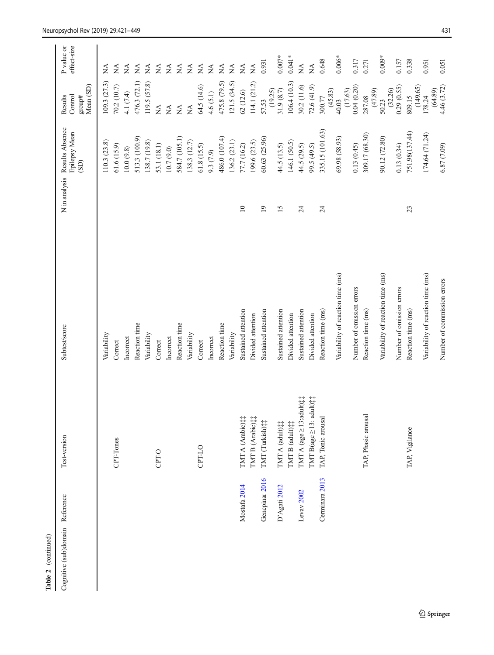| Table 2 (continued)   |                |                                         |                                   |                 |                                          |                                           |                                      |
|-----------------------|----------------|-----------------------------------------|-----------------------------------|-----------------|------------------------------------------|-------------------------------------------|--------------------------------------|
| Cognitive (sub)domain | Reference      | Test-version                            | Subtest/score                     | N in analysis   | Results Absence<br>Epilepsy Mean<br>(SD) | Mean (SD)<br>Results<br>Control<br>group# | P value or<br>effect-size            |
|                       |                |                                         | Variability                       |                 | 110.3 (23.8)                             | 109.3 (27.3)                              | ₹                                    |
|                       |                | CPT-Tones                               | Correct                           |                 | 61.6(15.9)                               | 70.2 (10.7)                               | $\mathbb{A}^{\mathsf{A}}$            |
|                       |                |                                         | Incorrect                         |                 | 10.0(9.8)                                | 4.1 (7.4)                                 | $\tilde{z}$                          |
|                       |                |                                         | Reaction time                     |                 | 513.3 (100.9)                            | 476.3 (72.1)                              | $\lessapprox$                        |
|                       |                |                                         | Variability                       |                 | 138.7 (19.8)                             | 119.5 (57.8)                              | $\lessapprox$                        |
|                       |                | CPT-O                                   | Correct                           |                 | 53.1 (18.1)                              | $\lesssim$                                | $\lessgtr$                           |
|                       |                |                                         | Incorrect                         |                 | 10.7 (9.0)                               | $\lessapprox$                             | $\lessapprox$                        |
|                       |                |                                         | Reaction time                     |                 | 584.7 (105.1)                            | $\lessapprox$                             | $\tilde{\ge}$                        |
|                       |                |                                         | Variability                       |                 | 138.3 (12.7)                             | $\tilde{\mathbf{z}}$                      | $\tilde{\mathbf{z}}$                 |
|                       |                | CPT-LO                                  | Correct                           |                 | 61.8(15.5)                               | 64.5 (14.6)                               | $\lessapprox$                        |
|                       |                |                                         | Incorrect                         |                 | 9.3 (7.9)                                | 4.6(5.1)                                  | $\tilde{\mathbf{z}}$                 |
|                       |                |                                         | Reaction time                     |                 | 486.0 (107.4)                            | 475.8 (79.5)                              | $\lessapprox$                        |
|                       |                |                                         | Variability                       |                 | 136.2(23.1)                              | 121.5(34.5)                               | $\lessgtr$                           |
|                       | Mostafa 2014   | TMT A (Arabic)##                        | Sustained attention               | $\overline{10}$ | 77.7 (16.2)                              | 62 (12.6)                                 | $\lessapprox$                        |
|                       |                | TMT B (Arabic)##                        | Divided attention                 |                 | 199.6 (23.5)                             | 114.1(21.2)                               | $\stackrel{\triangle}{\simeq}$       |
|                       | Gencpinar 2016 | TMT (Turkish)##                         | Sustained attention               | 19              | 60.63 (25.96)                            | 57.53                                     | 0.931                                |
|                       | D'Agati 2012   | TMT A (adult)##                         | Sustained attention               | 15              | 44.5 (13.5)                              | (19.25)<br>31.9 (8.7)                     | $0.007*$                             |
|                       |                | TMT B (adult)##                         | Divided attention                 |                 | 146.1 (50.5)                             | 106.4(10.3)                               | $0.041*$                             |
|                       | Levav 2002     | TMT A (age ≥ 13:adult)‡‡                | Sustained attention               | 24              | 44.5 (29.5)                              | 30.2 (11.6)                               | $\lessapprox$                        |
|                       |                | TMT $B(age \ge 13: adult)$ <sub>1</sub> | Divided attention                 |                 | 99.5 (49.5)                              | 72.6(41.9)                                | $\stackrel{\blacktriangle}{\approx}$ |
|                       | Cerminara 2013 | TAP, Tonic arousal                      | Reaction time (ms)                | 24              | 335.15 (101.63)                          | 300.77                                    | 0.648                                |
|                       |                |                                         | Variability of reaction time (ms) |                 | 69.98 (58.93)                            | $(45.83)$<br>40.03                        | $0.006*$                             |
|                       |                |                                         |                                   |                 |                                          | (17.63)                                   |                                      |
|                       |                |                                         | Number of omission errors         |                 | 0.13(0.45)                               | 0.04(0.20)                                | 0.317                                |
|                       |                | TAP, Phasic arousal                     | Reaction time (ms)                |                 | 309.17 (68.30)                           | 287.08                                    | 0.271                                |
|                       |                |                                         | Variability of reaction time (ms) |                 | 90.12 (72.80)                            | $(47.89)$<br>50.23                        | $0.009*$                             |
|                       |                |                                         |                                   |                 |                                          | (32.26)                                   |                                      |
|                       |                |                                         | Number of omission errors         |                 | 0.13(0.34)                               | 0.29(0.55)                                | 0.157                                |
|                       |                | TAP, Vigilance                          | Reaction time (ms)                | 23              | 751.98(137.44)                           | 809.15                                    | 0.338                                |
|                       |                |                                         | Variability of reaction time (ms) |                 | 174.64 (71.24)                           | (149.65)<br>178.24                        | 0.951                                |
|                       |                |                                         | Number of commission errors       |                 | 6.87 (7.09)                              | 4.46 (3.72)<br>(64.89)                    | 0.051                                |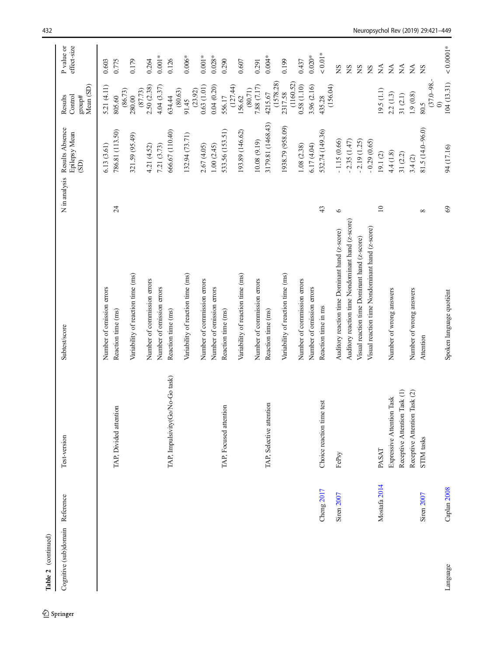| Table 2 (continued)   |                   |                                   |                                                   |               |                                          |                                           |                           |
|-----------------------|-------------------|-----------------------------------|---------------------------------------------------|---------------|------------------------------------------|-------------------------------------------|---------------------------|
| Cognitive (sub)domain | Reference         | Test-version                      | Subtest/score                                     | N in analysis | Results Absence<br>Epilepsy Mean<br>(SD) | Mean (SD)<br>Control<br>Results<br>group# | P value or<br>effect-size |
|                       |                   |                                   | Number of omission errors                         |               | 6.13(3.61)                               | 5.21 (4.11)                               | 0.603                     |
|                       |                   | TAP, Divided attention            | Reaction time (ms)                                | 24            | 786.81 (113.50)                          | 805.60                                    | 0.775                     |
|                       |                   |                                   | Variability of reaction time (ms)                 |               | 321.59 (95.49)                           | (87.73)<br>(86.73)<br>280.00              | 0.179                     |
|                       |                   |                                   | Number of commission errors                       |               | 4.21 (4.52)                              | 2.50 (2.38)                               | 0.264                     |
|                       |                   |                                   | Number of omission errors                         |               | 7.21 (3.73)                              | 4.04 (3.37)                               | $0.001*$                  |
|                       |                   | TAP, Impulsivity(Go/No-Go task)   | Reaction time (ms)                                |               | 666.67 (110.40)                          | 634.44                                    | 0.126                     |
|                       |                   |                                   | Variability of reaction time (ms)                 |               | 132.94(73.71)                            | (80.63)<br>(23.92)<br>91.45               | $0.006*$                  |
|                       |                   |                                   | Number of commission errors                       |               | 2.67 (4.05)                              | 0.63(1.01)                                | $0.001*$                  |
|                       |                   |                                   | Number of omission errors                         |               | 1.00(2.45)                               | 0.04(0.20)                                | $0.028*$                  |
|                       |                   | TAP, Focused attention            | Reaction time (ms)                                |               | 533.56 (153.51)                          | 556.17                                    | 0.290                     |
|                       |                   |                                   | Variability of reaction time (ms)                 |               | 193.89 (146.62)                          | (127.44)<br>156.62                        | 0.607                     |
|                       |                   |                                   | Number of commission errors                       |               | 10.08(9.19)                              | 7.88 (7.17)<br>(80.71)                    | 0.291                     |
|                       |                   | TAP, Selective attention          | Reaction time (ms)                                |               | 3179.81 (1468.43)                        | 4215.67                                   | $0.004*$                  |
|                       |                   |                                   | Variability of reaction time (ms)                 |               | 1938.79 (958.09)                         | (1578.28)<br>2317.58                      | 0.199                     |
|                       |                   |                                   | Number of commission errors                       |               | 1.08(2.38)                               | (1160.52)<br>0.58(1.10)                   | 0.437                     |
|                       |                   |                                   | Number of omission errors                         |               | 6.17 (4.04)                              | 3.96 (2.16)                               | $0.020*$                  |
|                       | Cheng 2017        | test<br>Choice reaction time      | Reaction time in ms                               | 43            | 532.74 (149.36)                          | 435.28                                    | $< 0.01\ast$              |
|                       | <b>Siren 2007</b> | FePsy                             | Auditory reaction time Dominant hand (z-score)    | $\circ$       | $-1.15(0.66)$                            | (156.04)                                  | SN                        |
|                       |                   |                                   | Auditory reaction time Nondominant hand (z-score) |               | $-2.35(1.47)$                            |                                           | $_{\rm NS}$               |
|                       |                   |                                   | Visual reaction time Dominant hand (z-score)      |               | $-2.19(1.25)$                            |                                           | $\mathbf{S}$              |
|                       |                   |                                   | Visual reaction time Nondominant hand (z-score)   |               | $-0.29(0.65)$                            |                                           | $^{2}$                    |
|                       | Mostafa 2014      | PASAT                             |                                                   | $\supseteq$   | 19.1(2)                                  | 19.5 (1.1)                                | $\lessapprox$             |
|                       |                   | Task<br>Expressive Attention      | Number of wrong answers                           |               | 4.4 (1.8)                                | 2.2(1.3)                                  | $\mathbb{A}$              |
|                       |                   | Task $(1)$<br>Receptive Attention |                                                   |               | 31 (2.2)                                 | 31(2.1)                                   | $\tilde{\mathbf{z}}$      |
|                       |                   | Task $(2)$<br>Receptive Attention | Number of wrong answers                           |               | 3.4(2)                                   | 1.9(0.8)                                  | $\tilde{\mathbb{X}}$      |
|                       | <b>Siren 2007</b> | STIM tasks                        | Attention                                         | ${}^{\circ}$  | 81.5 (14.0-96.0)                         | $(37.0 - 98. -$<br>80.5                   | SN                        |
| Language              | Caplan 2008       |                                   | Spoken language quotiënt                          | $69$          | 94 (17.16)                               | 104(13.31)<br>$\widehat{\circ}$           | $0.0001*$                 |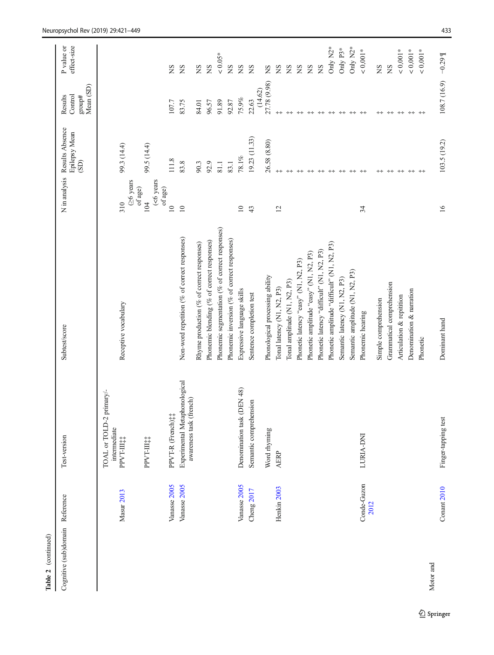| Table 2 (continued)   |                              |                                                           |                                                |                                 |                                          |                                           |                           |
|-----------------------|------------------------------|-----------------------------------------------------------|------------------------------------------------|---------------------------------|------------------------------------------|-------------------------------------------|---------------------------|
| Cognitive (sub)domain | Reference                    | Test-version                                              | Subtest/score                                  | N in analysis                   | Results Absence<br>Epilepsy Mean<br>(SD) | Mean (SD)<br>Results<br>Control<br>group# | P value or<br>effect-size |
|                       | <b>Masur 2013</b>            | primary/-<br>TOAL or TOLD-2<br>intermediate<br>PPVT-III‡‡ | Receptive vocabulary                           | 310                             | 99.3 (14.4)                              |                                           |                           |
|                       |                              | PPVT-III‡‡                                                |                                                | $\geq$ years<br>of age)<br>104  | 99.5 (14.4)                              |                                           |                           |
|                       |                              |                                                           |                                                | ( <sub>6</sub> years<br>of age) |                                          |                                           |                           |
|                       | Vanasse 2005<br>Vanasse 2005 | Experimental Metaphonological<br>PPVT-R (French)##        | Non-word repetition (% of correct responses)   | $\approx$<br>$10$               | $111.8$<br>83.8                          | 83.75<br>107.7                            | SN<br>$_{\rm NS}$         |
|                       |                              | awareness task (french)                                   | Rhyme production (% of correct responses)      |                                 | 90.3                                     | 84.01                                     | SN                        |
|                       |                              |                                                           | Phonemic blending (% of correct responses)     |                                 | 92.9                                     | 96.57                                     | SN                        |
|                       |                              |                                                           | Phonemic segmentation (% of correct responses) |                                 | 81.1                                     | 91.89                                     | $< 0.05*$                 |
|                       |                              |                                                           | Phonemic inversion (% of correct responses)    |                                 | 83.1                                     | 92.87                                     | SN                        |
|                       | Vanasse 2005                 | Denomination task (DEN 48)                                | Expressive language skills                     | $\supseteq$                     | $78.1\%$                                 | 75.9%                                     | SN                        |
|                       | Cheng 2017                   | Semantic comprehension                                    | Sentence completion test                       | 43                              | 19.23 (11.33)                            | 22.63                                     | S                         |
|                       |                              | Word rhyming                                              | Phonological processing ability                |                                 | 26.58 (8.80)                             | 27.78 (9.98)<br>(14.62)                   | SN                        |
|                       | Henkin 2003                  | <b>AERP</b>                                               | Tonal latency (N1, N2, P3)                     | $\overline{c}$                  | $+ +$                                    | $+ +$                                     | SN                        |
|                       |                              |                                                           | Tonal amplitude (N1, N2, P3)                   |                                 | $+ +$                                    | $+ +$                                     | SN                        |
|                       |                              |                                                           | Phonetic latency "easy" (N1, N2, P3)           |                                 | $+ +$                                    | $+ +$                                     | SN                        |
|                       |                              |                                                           | Phonetic amplitude "easy" (N1, N2, P3)         |                                 | $+ +$                                    | $+ +$                                     | SN                        |
|                       |                              |                                                           | Phonetic latency "difficult" (N1, N2, P3)      |                                 |                                          | $+ +$                                     | SN                        |
|                       |                              |                                                           | Phonetic amplitude "difficult" (N1, N2, P3)    |                                 |                                          | $+ +$                                     | Only N2*                  |
|                       |                              |                                                           | Semantic latency (N1, N2, P3)                  |                                 |                                          | $+ +$                                     | Only P <sub>3*</sub>      |
|                       |                              |                                                           | Semantic amplitude (N1, N2, P3)                |                                 |                                          | $+ +$                                     | Only N2*                  |
|                       | Conde-Guzon<br>2012          | LURIA-DNI                                                 | Phonemic hearing                               | 34                              |                                          | $+ +$                                     | $0.001*$                  |
|                       |                              |                                                           | Simple comprehension                           |                                 |                                          | ÷÷                                        | SN                        |
|                       |                              |                                                           | Grammatical comprehension                      |                                 |                                          | $+ +$                                     | SN                        |
|                       |                              |                                                           | Articulation & repitition                      |                                 | $+ +$                                    | $+ +$                                     | $0,001*$                  |
|                       |                              |                                                           | Denomination & narration                       |                                 | $+ +$                                    | $+ +$                                     | $0.001*$                  |
|                       |                              |                                                           | Phonetic                                       |                                 | $+ +$                                    | $+ +$                                     | $0,001*$                  |
| Motor and             | <b>Conant 2010</b>           | Finger-tapping test                                       | Dominant hand                                  | 16                              | 103.5 (19.2)                             | 108.7 (16.9)                              | $-0.29$ T                 |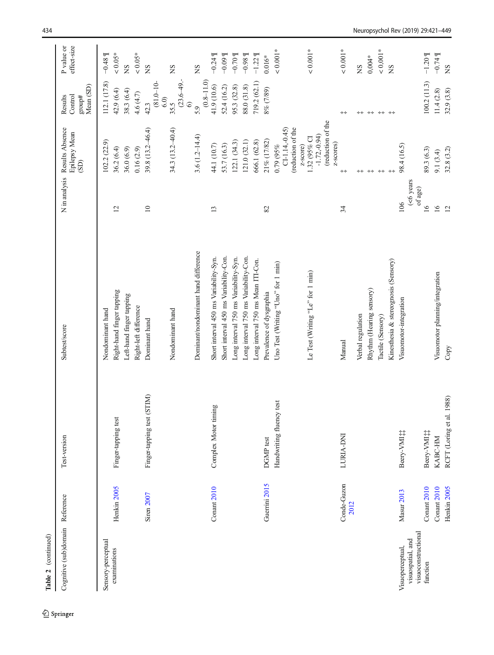| Table 2 (continued)                      |                     |                                 |                                        |                                 |                                                  |                                                   |                            |
|------------------------------------------|---------------------|---------------------------------|----------------------------------------|---------------------------------|--------------------------------------------------|---------------------------------------------------|----------------------------|
| Cognitive (sub)domain                    | Reference           | Test-version                    | Subtest/score                          | N in analysis                   | Results Absence<br>Epilepsy Mean<br>(SD)         | Mean (SD)<br>Control<br>$g_{\rm{top}}$<br>Results | P value or<br>effect-size  |
| Sensory-perceptual                       |                     |                                 | Nondominant hand                       |                                 | 102.2(22.9)                                      | 112.1 (17.8)                                      | $-0.48$ T                  |
| examinations                             | Henkin 2005         | Finger-tapping test             | Right-hand finger tapping              | 12                              | 36.2(6.4)                                        | 42.9 (6.4)                                        | $0.05*$                    |
|                                          |                     |                                 | Left-hand finger tapping               |                                 | 36.0(6.9)                                        | 38.3(6.4)                                         | $_{\rm NS}$                |
|                                          |                     |                                 | Right-left difference                  |                                 | 0.16(2.9)                                        | 4.6 (4.7)                                         | $< 0.05*$                  |
|                                          | <b>Siren 2007</b>   | (STIM)<br>Finger-tapping test ( | Dominant hand                          | $\approx$                       | 39.8 (13.2-46.4)                                 | $(81.0 - 10$<br>42.3                              | SN                         |
|                                          |                     |                                 | Nondominant hand                       |                                 | 34.3 (13.2-40.4)                                 | $(23.6 - 49.$<br>$6.0)$<br>35.5                   | $\mathop{\rm SS}\nolimits$ |
|                                          |                     |                                 | Dominant/nondominant hand difference   |                                 | 3.6 $(1.2 - 14.4)$                               | $\odot$<br>5.9                                    | SN                         |
|                                          | <b>Conant 2010</b>  | Complex Motor timing            | Short interval 450 ms Variability-Syn. | 13                              | 44.1 (10.7)                                      | $(0.8 - 11.0)$<br>41.9 (10.6)                     | $-0.24$ [                  |
|                                          |                     |                                 | Short interval 450 ms Variability-Con. |                                 | 53.7 (16.3)                                      | 52.4 (16.2)                                       | $-0.09$ $\mathbb{I}$       |
|                                          |                     |                                 | Long interval 750 ms Variability-Syn.  |                                 | 122.1 (34.3)                                     | 95.3 (32.8)                                       | $-0.70$ $\rm{J}$           |
|                                          |                     |                                 | Long interval 750 ms Variability-Con.  |                                 | 121.0(32.1)                                      | 88.0 (31.8)                                       | $-0.98$ $\mathbb{I}$       |
|                                          |                     |                                 | Long interval 750 ms Mean ITI-Con.     |                                 | 666.1 (62.8)                                     | 719.2 (62.1)                                      | $-1.22$ T                  |
|                                          | Guerrini 2015       | DGMP test                       | Prevalence of dysgraphia               | 82                              | 21% (17/82)                                      | 8% (7/89)                                         | $0.016*$                   |
|                                          |                     | Handwriting fluency test        | Uno Test (Writing "Uno" for 1 min)     |                                 | (reduction of the<br>$CI-1.14,-0.45$<br>0.79995% |                                                   | $0.001*$                   |
|                                          |                     |                                 |                                        |                                 | z-score)                                         |                                                   |                            |
|                                          |                     |                                 | Le Test (Writing "Le" for 1 min)       |                                 | $-1.72, -0.94$<br>1.32 (95% CI                   |                                                   | $0.001*$                   |
|                                          |                     |                                 |                                        |                                 | (reduction of the                                |                                                   |                            |
|                                          | Conde-Guzon<br>2012 | LURIA-DNI                       | Manual                                 | 34                              | z-scores)<br>$+ +$                               | ÷÷                                                | $0.001*$                   |
|                                          |                     |                                 | Verbal regulation                      |                                 | $+ +$                                            | $+ +$                                             | SN                         |
|                                          |                     |                                 | Rhythm (Hearing sensory)               |                                 | $+ +$                                            | $+ +$                                             | $0,004*$                   |
|                                          |                     |                                 | Tactile (Sensory)                      |                                 | $+ +$                                            | $+ +$                                             | $0,001*$                   |
|                                          |                     |                                 | Kinesthesia & stereognosis (Sensory)   |                                 |                                                  | $+ +$                                             | <b>NS</b>                  |
| Visuoperceptual,                         | <b>Masur 2013</b>   | Beery-VMI‡‡                     | Visuomotor-integration                 | 106                             | 98.4 (16.5)                                      |                                                   |                            |
| visuoconstructional<br>visuospatial, and |                     |                                 |                                        | ( <sub>6</sub> years<br>of age) |                                                  |                                                   |                            |
| function                                 | Conant 2010         | Beery-VMI <sub>#</sub> #        |                                        | $\frac{6}{2}$                   | 89.3 (6.3)                                       | 100.2(11.3)                                       | $-1.20$ ¶                  |
|                                          | Conant 2010         | KABC-HM                         | Visuomotor planning/integration        | $\overline{16}$                 | 9.1 (3.4)                                        | 11.4(2.8)                                         | $-0.74$ $\rm{J}$           |
|                                          | Henkin 2005         | RCFT (Loring et al. 1988)       | Copy                                   | $\overline{12}$                 | 32.8(3.2)                                        | 32.9 (3.8)                                        | <b>NS</b>                  |

 $\underline{\textcircled{\tiny 2}}$  Springer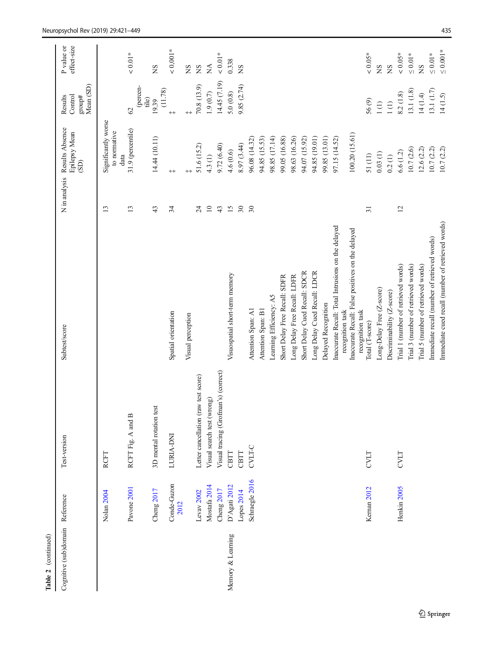| Table 2 (continued)   |                     |                                      |                                                                       |                 |                                             |                                                |                           |
|-----------------------|---------------------|--------------------------------------|-----------------------------------------------------------------------|-----------------|---------------------------------------------|------------------------------------------------|---------------------------|
| Cognitive (sub)domain | Reference           | Test-version                         | Subtest/score                                                         | N in analysis   | Results Absence<br>Epilepsy Mean<br>(SD)    | Mean (SD)<br>Control<br>Results<br>group#      | P value or<br>effect-size |
|                       | Nolan 2004          | <b>RCFT</b>                          |                                                                       | 13              | Significantly worse<br>to normative<br>data |                                                |                           |
|                       | Pavone 2001         | RCFT Fig. A and B                    |                                                                       | 13              | 31.9 (percentile)                           | $\Omega$                                       | $< 0.01*$                 |
|                       |                     |                                      |                                                                       |                 |                                             | (percen-<br>tile)                              |                           |
|                       | Cheng 2017          | 3D mental rotation test              |                                                                       | 43              | 14.44 (10.11)                               | (11.78)<br>19.39                               | SN                        |
|                       | Conde-Guzon<br>2012 | LURIA-DNI                            | Spatial orientation                                                   | 34              | $+ +$                                       | $+ +$                                          | $0,001*$                  |
|                       |                     |                                      | Visual perception                                                     |                 |                                             | $+ +$                                          | SN                        |
|                       | Levav 2002          | Letter cancellation (raw test score) |                                                                       | 24              | 51.6 (15.2)                                 | 70.8 (13.9)                                    | SN                        |
|                       | Mostafa 2014        | Visual search test (wrong)           |                                                                       | $\supseteq$     | 4.3(1)                                      | 1.9(0.7)                                       | $\lesssim$                |
|                       | Cheng $2017$        | Visual tracing (Grofman's) (correct) |                                                                       | 43              | 9.72(6.40)                                  | 14.45 (7.19)                                   | $< 0.01\ast$              |
| Memory & Learning     | D'Agati 2012        | CBTT                                 | Visuospatial short-term memory                                        | 15              | 4.6 (0.6)                                   | 5.0(0.8)                                       | 0.338                     |
|                       | Lopes 2014          | CBTT                                 |                                                                       | $30\,$          | 8.97 (3.44)                                 | 9.85 (2.74)                                    | <b>NS</b>                 |
|                       | Schraegle 2016      | CVLT-C                               | Attention Span: A1                                                    | 30              | 96.08 (14.32)                               |                                                |                           |
|                       |                     |                                      | Attention Span: B1                                                    |                 | 94.85 (15.53)                               |                                                |                           |
|                       |                     |                                      | Learning Efficiency: A5                                               |                 | 98.85 (17.14)                               |                                                |                           |
|                       |                     |                                      | Short Delay Free Recall: SDFR                                         |                 | 99.05 (16.88)                               |                                                |                           |
|                       |                     |                                      | Long Delay Free Recall: LDFR                                          |                 | 98.63 (16.26)                               |                                                |                           |
|                       |                     |                                      | Short Delay Cued Recall: SDCR                                         |                 | 94.07 (15.92)                               |                                                |                           |
|                       |                     |                                      | Long Delay Cued Recall: LDCR                                          |                 | 94.85 (19.01)                               |                                                |                           |
|                       |                     |                                      | Delayed Recognition                                                   |                 | 99.85 (13.01)                               |                                                |                           |
|                       |                     |                                      | Inaccurate Recall: Total Intrusions on the delayed                    |                 | 97.15 (14.52)                               |                                                |                           |
|                       |                     |                                      | Inaccurate Recall: False positives on the delayed<br>recognition task |                 | 100.20 (15.61)                              |                                                |                           |
|                       |                     |                                      | recognition task                                                      |                 |                                             |                                                |                           |
|                       | Kernan 2012         | <b>CVLT</b>                          | Total (T-score)                                                       | $\overline{31}$ | 51 (11)                                     | 56(9)                                          | $< 0.05*$                 |
|                       |                     |                                      | Long-Delay Free (Z-score)                                             |                 | 0.03(1)                                     | 1(1)                                           | SN                        |
|                       |                     |                                      | Discriminability (Z-score)                                            |                 | 0.2(1)                                      | $\left( \begin{matrix} 1 \end{matrix} \right)$ | <b>SN</b>                 |
|                       | Henkin 2005         | <b>CVLT</b>                          | Trial 1 (number of retrieved words)                                   | $\overline{c}$  | 6.6(1.2)                                    | 8.2(1.8)                                       | ${}_{< 0.05*}$            |
|                       |                     |                                      | Trial 3 (number of retrieved words)                                   |                 | 10.7(2.6)                                   | 13.1 (1.8)                                     | $\leq 0.01*$              |
|                       |                     |                                      | Trial 5 (number of retrieved words)                                   |                 | 12.6(2.2)                                   | 14 (1.4)                                       | $\frac{8}{2}$             |
|                       |                     |                                      | Immediate recall (number of retrieved words)                          |                 | 10.7(2.2)                                   | 13.1(1.7)                                      | $\leq 0.01*$              |
|                       |                     |                                      | Immediate cued recall (number of retrieved words)                     |                 | 10.7 (2.2)                                  | 14(1.5)                                        | $\leq 0.001*$             |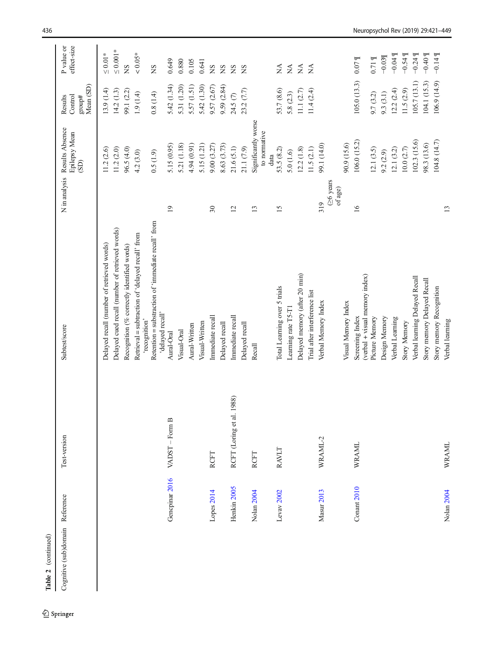| Table 2 (continued)   |                   |                              |                                                                                          |                         |                                          |                                           |                                              |
|-----------------------|-------------------|------------------------------|------------------------------------------------------------------------------------------|-------------------------|------------------------------------------|-------------------------------------------|----------------------------------------------|
| Cognitive (sub)domain | Reference         | Test-version                 | Subtest/score                                                                            | N in analysis           | Results Absence<br>Epilepsy Mean<br>(SD) | Mean (SD)<br>Control<br>Results<br>group# | P value or<br>effect-size                    |
|                       |                   |                              | Delayed recall (number of retrieved words)                                               |                         | 11.2(2.6)                                | 13.9(1.4)                                 | $\leq 0.01*$                                 |
|                       |                   |                              | Delayed cued recall (number of retrieved words)                                          |                         | 11.2(2.0)                                | 14.2(1.3)                                 | $\leq 0.001*$                                |
|                       |                   |                              | Recognition (% correctly identified words)                                               |                         | 96.5(4.0)                                | 99.1 (2.2)                                | <b>SN</b>                                    |
|                       |                   |                              | Retrieval = subtraction of 'delayed recall' from                                         |                         | 4.2 (3.0)                                | 1.9(1.4)                                  | $< 0.05*$                                    |
|                       |                   |                              | Retention = substraction of 'immediate recall' from<br>'delayed recall'<br>'recognition' |                         | 0.5(1.9)                                 | 0.8(1.4)                                  | SN                                           |
|                       | Gencpinar 2016    | VADST-Form B                 | Aural-Oral                                                                               | $\overline{19}$         | 5.15 (0.95)                              | 5.42 (1.34)                               | 0.649                                        |
|                       |                   |                              | Visual-Oral                                                                              |                         | 5.21 (1.18)                              | 5.31 (1.20)                               | 0.880                                        |
|                       |                   |                              | Aural-Written                                                                            |                         | 4.94 (0.91)                              | 5.57 (1.51)                               | 0.105                                        |
|                       |                   |                              | Visual-Written                                                                           |                         | 5.15 (1.21)                              | 5.42 (1.30)                               | 0.641                                        |
|                       | Lopes 2014        | <b>RCFT</b>                  | Immediate recall                                                                         | $30\,$                  | 9.00(3.27)                               | 9.57 (2.67)                               | SN                                           |
|                       |                   |                              | Delayed recall                                                                           |                         | 8.63 (3.73)                              | 9.59 (2.84)                               | SN                                           |
|                       | Henkin 2005       | 1988)<br>RCFT (Loring et al. | Immediate recall                                                                         | 12                      | 21.6(5.1)                                | 24.5(7)                                   | SN                                           |
|                       |                   |                              | Delayed recall                                                                           |                         | 21.1(7.9)                                | 23.2 (7.7)                                | SN                                           |
|                       | Nolan 2004        | <b>RCFT</b>                  | Recall                                                                                   | 13                      | Significantly worse                      |                                           |                                              |
|                       |                   |                              |                                                                                          |                         | to normative<br>data                     |                                           |                                              |
|                       | Levav 2002        | RAVLT                        | Total Learning over 5 trials                                                             | 15                      | 53.5 (8.2)                               | 53.7 (8.6)                                | $\lesssim$                                   |
|                       |                   |                              | Learning rate T5-T1                                                                      |                         | 5.0(1.6)                                 | 5.8(2.3)                                  | $\lessapprox$                                |
|                       |                   |                              | Delayed memory (after 20 min)                                                            |                         | 12.2(1.8)                                | 11.1 $(2.7)$                              | $\lessapprox$                                |
|                       |                   |                              | Trial after interference list                                                            |                         | 11.5(2.1)                                | 11.4(2.4)                                 | $\lessapprox$                                |
|                       | Masur 2013        | WRAML-2                      | Verbal Memory Index                                                                      | 319                     | 99.1 (14.0)                              |                                           |                                              |
|                       |                   |                              |                                                                                          | $\geq$ years<br>of age) |                                          |                                           |                                              |
|                       |                   |                              | Visual Memory Index                                                                      |                         | 90.9 (15.6)                              |                                           |                                              |
|                       | Conant 2010       | WRAML                        | (verbal + visual memory index)<br>Screening Index                                        | $\geq$                  | 106.0 (15.2)                             | 105.0(13.3)                               | $0.07$ $\rm{J}$                              |
|                       |                   |                              | Picture Memory                                                                           |                         | 12.1(3.5)                                | 9.7 (3.2)                                 | $0.71$ T                                     |
|                       |                   |                              | Design Memory                                                                            |                         | 9.2(2.9)                                 | 9.3(3.1)                                  | $-0.03$                                      |
|                       |                   |                              | Verbal Learning                                                                          |                         | 12.1(3.2)                                | 12.2(2.4)                                 | $-0.04$ $\rm{J}$                             |
|                       |                   |                              | <b>Story Memory</b>                                                                      |                         | 10.0 (2.7)                               | 11.5(2.9)                                 | $-0.54$ ¶                                    |
|                       |                   |                              | Verbal learning Delayed Recall                                                           |                         | 102.3 (15.6)                             | 105.7(13.1)                               | $-0.24$ ¶                                    |
|                       |                   |                              | Story memory Delayed Recall                                                              |                         | 98.3 (13.6)                              | 104.1 (15.3)                              | $-0.40$ $\displaystyle{\mathop{\mathbb{T}}}$ |
|                       |                   |                              | Story memory Recognition                                                                 |                         | 104.8 (14.7)                             | 106.9 (14.9)                              | $-0.14$                                      |
|                       | <b>Nolan 2004</b> | WRAML                        | Verbal learning                                                                          | 13                      |                                          |                                           |                                              |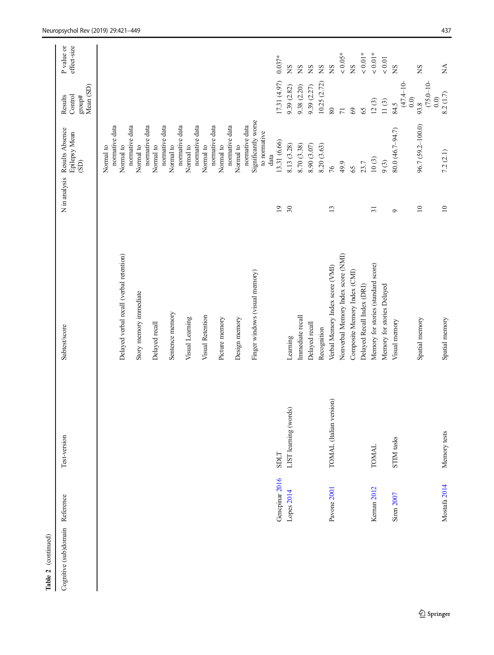| Table 2 (continued)             |                         |                                          |                 |                                          |                                                       |                           |
|---------------------------------|-------------------------|------------------------------------------|-----------------|------------------------------------------|-------------------------------------------------------|---------------------------|
| Cognitive (sub)domain Reference | Test-version            | Subtest/score                            | N in analysis   | Results Absence<br>Epilepsy Mean<br>(SD) | Mean (SD)<br>Results<br>Control<br>$g_{\text{rough}}$ | P value or<br>effect-size |
|                                 |                         |                                          |                 | Normal to                                |                                                       |                           |
|                                 |                         |                                          |                 | normative data                           |                                                       |                           |
|                                 |                         | Delayed verbal recall (verbal retention) |                 | Normal to                                |                                                       |                           |
|                                 |                         |                                          |                 | normative data                           |                                                       |                           |
|                                 |                         | Story memory immediate                   |                 | Normal to                                |                                                       |                           |
|                                 |                         |                                          |                 | normative data                           |                                                       |                           |
|                                 |                         | Delayed recall                           |                 | Normal to                                |                                                       |                           |
|                                 |                         |                                          |                 | normative data                           |                                                       |                           |
|                                 |                         | Sentence memory                          |                 | normative data<br>Normal to              |                                                       |                           |
|                                 |                         | Visual Learning                          |                 | Normal to                                |                                                       |                           |
|                                 |                         |                                          |                 | normative data                           |                                                       |                           |
|                                 |                         | Visual Retention                         |                 | Normal to                                |                                                       |                           |
|                                 |                         |                                          |                 | normative data                           |                                                       |                           |
|                                 |                         | Picture memory                           |                 | Normal to                                |                                                       |                           |
|                                 |                         |                                          |                 | normative data<br>Normal to              |                                                       |                           |
|                                 |                         | Design memory                            |                 | normative data                           |                                                       |                           |
|                                 |                         | Finger windows (visual memory)           |                 | Significantly worse                      |                                                       |                           |
|                                 |                         |                                          |                 | to normative                             |                                                       |                           |
|                                 |                         |                                          |                 | data                                     |                                                       |                           |
| Gencpinar 2016                  | <b>SDLT</b>             |                                          | $\overline{19}$ | 13.31 (6.66)                             | 17.31 (4.97)                                          | $0.037*$                  |
| Lopes 2014                      | LIST learning (words)   | Learning                                 | $30\,$          | 8.13 (3.28)                              | 9.39 (2.82)                                           | SN                        |
|                                 |                         | Immediate recall                         |                 | 8.70 (3.38)                              | 9.38 (2.20)                                           | SN                        |
|                                 |                         | Delayed recall                           |                 | 8.90 (3.07)                              | 9.39 (2.27)                                           | SN                        |
|                                 |                         | Recognition                              |                 | 8.20(3.63)                               | 10.25(2.72)                                           | SN                        |
| Pavone 2001                     | TOMAL (Italian version) | Verbal Memory Index score (VMI)          | 13              | 76                                       | $\rm 80$                                              | SN                        |
|                                 |                         | Nonverbal Memory Index score (NMI)       |                 | 49.9                                     | $\overline{7}$                                        | $< 0.05*$                 |
|                                 |                         | Composite Memory Index (CMI)             |                 | 65                                       | $69$                                                  | <b>SN</b>                 |
|                                 |                         | Delayed Recall Index (DRI)               |                 | 23.7                                     | 65                                                    | $< 0.01*$                 |
| Kernan 2012                     | <b>TOMAL</b>            | Memory for stories (standard score)      | $\overline{31}$ | $10(3)$                                  | $12(3)$                                               | $< 0.01*$                 |
|                                 |                         | Memory for stories Delayed               |                 | 9(3)                                     | $11(3)$                                               | $< 0.01$                  |
| <b>Siren 2007</b>               | STIM tasks              | Visual memory                            | $\circ$         | 80.0 (46.7-94.7)                         | 84.5                                                  | S                         |
|                                 |                         |                                          |                 |                                          | $(47.4 - 10 -$<br>$0.0)$                              |                           |
|                                 |                         | Spatial memory                           | $\overline{10}$ | 96.7 (59.2-100.0)                        | 93.8                                                  | SN                        |
|                                 |                         |                                          |                 |                                          | $(75.0 - 10 -$<br>$0.0)$                              |                           |
| Mostafa 2014                    | Memory tests            | Spatial memory                           | $\overline{10}$ | 7.2(2.1)                                 | 8.2(1.7)                                              | $\lesssim$                |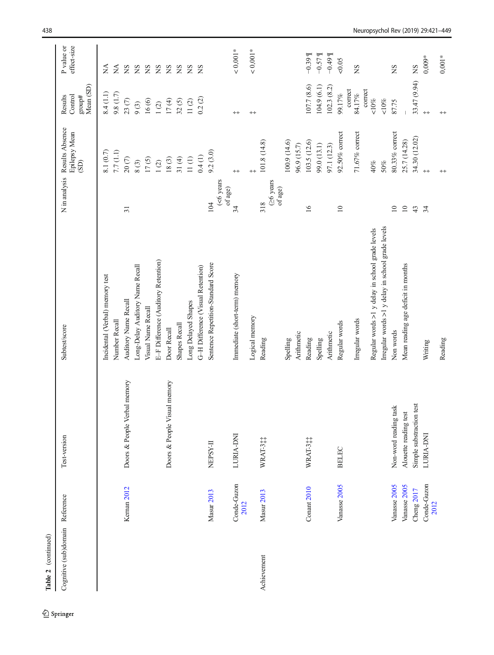| Table 2 (continued)             |                     |                              |                                                   |                                 |                                          |                                           |                           |
|---------------------------------|---------------------|------------------------------|---------------------------------------------------|---------------------------------|------------------------------------------|-------------------------------------------|---------------------------|
| Cognitive (sub)domain Reference |                     | Test-version                 | Subtest/score                                     | N in analysis                   | Results Absence<br>Epilepsy Mean<br>(SD) | Mean (SD)<br>Control<br>Results<br>group# | P value or<br>effect-size |
|                                 |                     |                              | Incidental (Verbal) memory test                   |                                 | 8.1 (0.7)                                | 8.4 (1.1)                                 | ₹                         |
|                                 |                     |                              | Number Recall                                     |                                 | 7.7(1.1)                                 | 9.8(1.7)                                  | $\tilde{\mathbf{z}}$      |
|                                 | Kernan 2012         | Doors & People Verbal memory | Auditory Name Recall                              | $\overline{31}$                 | $20(7)$                                  | 23(7)                                     | SN                        |
|                                 |                     |                              | Long-Delay Auditory Name Recall                   |                                 | 8(3)                                     | 9(3)                                      | SN                        |
|                                 |                     |                              | Visual Name Recall                                |                                 | 17(5)                                    | $16(6)$                                   | ΧS                        |
|                                 |                     |                              | E-F Difference (Auditory Retention)               |                                 | 1(2)                                     | $1(2)$                                    | $_{\rm NS}$               |
|                                 |                     | Doors & People Visual memory | Door Recall                                       |                                 | $18(3)$                                  | 17(4)                                     | SN                        |
|                                 |                     |                              | Shapes Recall                                     |                                 | 31(4)                                    | 32(5)                                     | SN                        |
|                                 |                     |                              | Long Delayed Shapes                               |                                 | $11(1)$                                  | $11(2)$                                   | SN                        |
|                                 |                     |                              | G-H Difference (Visual Retention)                 |                                 | 0.4(1)                                   | $0.2\ (2)$                                | SN                        |
|                                 | Masur 2013          | <b>II-XS4HN</b>              | Sentence Repetition-Standard Score                | 104                             | 9.2(3.0)                                 |                                           |                           |
|                                 |                     |                              |                                                   | ( <sub>6</sub> years<br>of age) |                                          |                                           |                           |
|                                 | Conde-Guzon<br>2012 | LURIA-DNI                    | Immediate (short-term) memory                     | 34                              | $+ +$                                    | $+ +$                                     | ${}< 0,001*$              |
|                                 |                     |                              | Logical memory                                    |                                 | $+ +$                                    | $+ +$                                     | ${}< 0,001*$              |
| Achievement                     | Masur 2013          | WRAT-3‡‡                     | Reading                                           | 318                             | 101.8 (14.8)                             |                                           |                           |
|                                 |                     |                              |                                                   | $(26 \text{ years})$            |                                          |                                           |                           |
|                                 |                     |                              |                                                   | of age)                         |                                          |                                           |                           |
|                                 |                     |                              | Spelling                                          |                                 | 100.9 (14.6)                             |                                           |                           |
|                                 |                     |                              | Arithmetic                                        |                                 | 96.9 (15.7)                              |                                           |                           |
|                                 | <b>Conant 2010</b>  | WRAT-3‡‡                     | Reading                                           | $\overline{16}$                 | 103.5 (12.6)                             | 107.7 (8.6)                               | $-0.39$ T                 |
|                                 |                     |                              | Spelling                                          |                                 | 99.0 (13.1)                              | 104.9(6.1)                                | $-0.57$ T                 |
|                                 |                     |                              | Arithmetic                                        |                                 | 97.1 (12.3)                              | 102.3(8.2)                                | $-0.49$ J                 |
|                                 | Vanasse 2005        | <b>BELEC</b>                 | Regular words                                     | 10                              | 92.50% correct                           | 99.17%                                    | 0.05                      |
|                                 |                     |                              | Irregular words                                   |                                 | 71.67% correct                           | correct<br>84.17%                         | <b>SN</b>                 |
|                                 |                     |                              | Regular words >1 y delay in school grade levels   |                                 | 40%                                      | correct<br>$<\!\!10\%$                    |                           |
|                                 |                     |                              | Irregular words >1 y delay in school grade levels |                                 | $50\%$                                   | $<\!\!10\%$                               |                           |
|                                 | Vanasse 2005        | Non-word reading task        | Non words                                         | $\overline{10}$                 | 80.33% correct                           | 87.75                                     | SN                        |
|                                 | Vanasse 2005        | Alouette reading test        | Mean reading age deficit in months                | $\overline{10}$                 | 25.7 (14.28)                             |                                           |                           |
|                                 | Cheng 2017          | Simple substraction test     |                                                   | 43                              | 34.30 (12.02)                            | 33.47 (9.94)                              | SN                        |
|                                 | Conde-Guzon<br>2012 | LURIA-DNI                    | Writing                                           | 34                              | $+ +$                                    | $+ +$                                     | $0,009*$                  |
|                                 |                     |                              | Reading                                           |                                 | $+$                                      | $+ +$                                     | $0,001*$                  |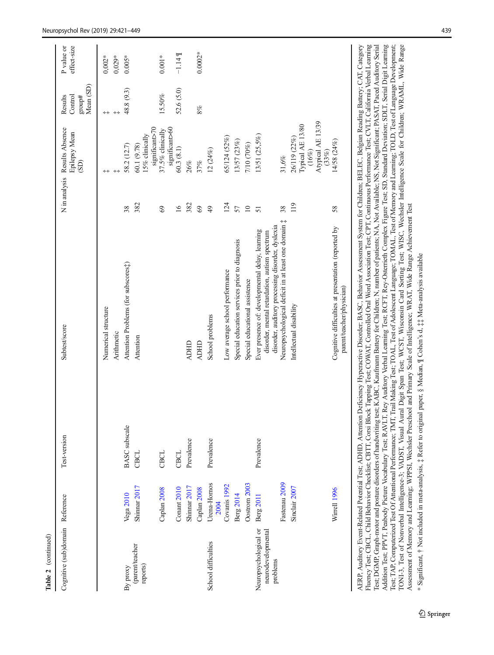| Cognitive (sub)domain                                   | Reference            | Test-version         | Subtest/score                                                                                                                                        | N in analysis   | Results Absence<br>Epilepsy Mean<br>(SD)                                   | Results<br>Control<br>group# | effect-size<br>P value or |
|---------------------------------------------------------|----------------------|----------------------|------------------------------------------------------------------------------------------------------------------------------------------------------|-----------------|----------------------------------------------------------------------------|------------------------------|---------------------------|
|                                                         |                      |                      |                                                                                                                                                      |                 |                                                                            | Mean (SD)                    |                           |
|                                                         |                      |                      | Numerical structure                                                                                                                                  |                 |                                                                            | $+ +$                        | $0,002*$                  |
|                                                         |                      |                      | Arithmetic                                                                                                                                           |                 |                                                                            |                              | $0,029*$                  |
| By proxy                                                | Vega 2010            | <b>BASC</b> subscale | Attention Problems (for subscores;                                                                                                                   | 38              | 58.2 (12.7)                                                                | 48.8 (9.3)                   | $0.005*$                  |
| (parent/teacher<br>reports)                             | Shinnar 2017         | CBCL                 | Attention                                                                                                                                            | 382             | 15% clinically<br>60.1 (9.78)                                              |                              |                           |
|                                                         |                      |                      |                                                                                                                                                      |                 | significant>70                                                             |                              |                           |
|                                                         | Caplan 2008          | CBCL                 |                                                                                                                                                      | 69              | significant>60<br>37.5% clinically                                         | $15.50\%$                    | $0.001*$                  |
|                                                         | <b>Conant 2010</b>   | CBCL                 |                                                                                                                                                      | $\geq$          | 60.3(8.1)                                                                  | 52.6 (5.0)                   | $-1.14$ J                 |
|                                                         | Shinnar 2017         | Prevalence           | <b>ADHD</b>                                                                                                                                          | 382             | 26%                                                                        |                              |                           |
|                                                         | Caplan 2008          |                      | <b>ADHD</b>                                                                                                                                          | 69              | 37%                                                                        | $8\%$                        | $0.0002*$                 |
| School difficulties                                     | Urena-Hornos<br>2004 | Prevalence           | School problems                                                                                                                                      | $\overline{49}$ | 12(24%)                                                                    |                              |                           |
|                                                         | Covanis 1992         |                      | Low average school performance                                                                                                                       | 124             | 65/124 (52%)                                                               |                              |                           |
|                                                         | Berg 2014            |                      | Special education services prior to diagnosis                                                                                                        | 57              | 13/57 (23%)                                                                |                              |                           |
|                                                         | Oostrom 2003         |                      | Special educational assistence                                                                                                                       | $\overline{10}$ | 7/10 (70%)                                                                 |                              |                           |
| Neuropsychological or<br>neurodevelopmental<br>problems | Berg 2011            | Prevalence           | disorder, auditory processing disorder, dyslexia<br>Ever presence of: developmental delay, learning<br>disorder, mental retardation, autism spectrum | 51              | $13/51(25,5\%)$                                                            |                              |                           |
|                                                         | Fastenau 2009        |                      | Neuropsychological deficit in at least one domain $\ddagger$                                                                                         | 38              | $31,6\%$                                                                   |                              |                           |
|                                                         | Sinclair 2007        |                      | Intellectual disability                                                                                                                              | 119             | Atypical AE 13/39<br>Typical AE 13/80<br>26/119 (22%)<br>(33%)<br>$(16\%)$ |                              |                           |
|                                                         | Wirrell 1996         |                      | Cognitive difficulties at presentation (reported by<br>parent/teacher/physician)                                                                     | 58              | 14/58 (24%)                                                                |                              |                           |

Test; TAP, Computerized Test Of Attentional Performance; TMT, Trail Making Test; TOAL, Test of Adolescent Language; TOMAL, Test of Memory and Learning; TOLD, Test of Language Development;<br>TONI-3, Test of Nonverbal Intellig TONI-3, Test of Nonverbal Intelligence-3; VADST, Visual Aural Digit Span Test; WCST, Wisconsin Card Sorting Test; WISC, Wechsler Intelligence Scale for Children; WRAML, Wide Range Assessment of Memory and Learning; WPPSI, Wechsler Preschool and Primary Scale of Intelligence; WRAT, Wide Range Achievement Test \* Significant, † Not included in meta-analysis, ‡ Refer to original paper, § Median, ¶ Cohen's d, ## Meta-analysis available \* Significant, † Not included in meta-analysis, ‡ Refer to original paper, § Median, ¶ Cohen's d, ‡‡ Meta-analysis available

Test; DGMP, Graph-motor and posture disorders of handwriting test; KABC, Kaufmann Battery for Children; N, number of patients; NA, Not Available; NS, Not Significant; PASAT, Paced Auditory Serial Addition Test; PPVT, Peabody Picture Vocabulary Test; RAVLT, Rey Auditory Verbal Learning Test; RCFT, Rey-Osterrieth Complex Figure Test; SD, Standard Deviation; SDLT, Serial Digit Learning Test; TAP, Computerized Test Of Attentional Performance; TMT, Trail Making Test; TOAL, Test of Adolescent Language; TOMAL, Test of Memory and Learning; TOLD, Test of Language Development;

Test; DGMP, Graph-motor and posture disorders of handwriting test; KABC, Kaufmann Battery for Children; N, number of patients; NA, Not Available; NS, Not Significant; PASAT, Paced Auditory Serial Addition Test; PPVT, Peabody Picture Vocabulary Test; RAVLT, Rey Auditory Verbal Learning Test; RCFT, Rey-Osterrieth Complex Figure Test; SD, Standard Deviation; SDLT, Serial Digit Learning

Springer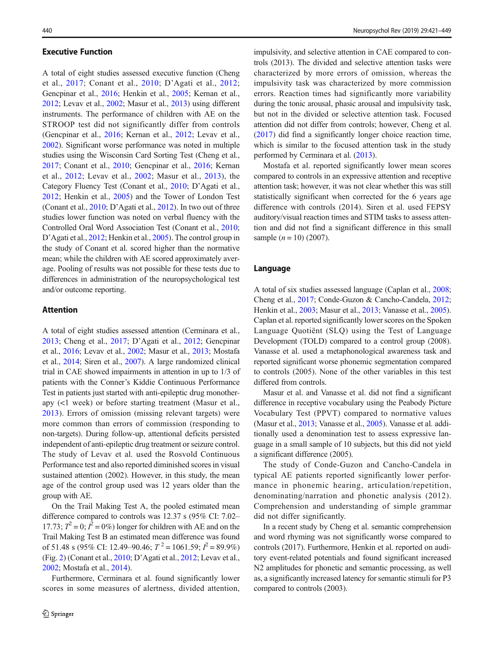#### Executive Function

A total of eight studies assessed executive function (Cheng et al., [2017;](#page-27-0) Conant et al., [2010;](#page-27-0) D'Agati et al., [2012](#page-27-0); Gencpinar et al., [2016;](#page-27-0) Henkin et al., [2005](#page-28-0); Kernan et al., [2012;](#page-28-0) Levav et al., [2002;](#page-28-0) Masur et al., [2013\)](#page-28-0) using different instruments. The performance of children with AE on the STROOP test did not significantly differ from controls (Gencpinar et al., [2016;](#page-27-0) Kernan et al., [2012](#page-28-0); Levav et al., [2002\)](#page-28-0). Significant worse performance was noted in multiple studies using the Wisconsin Card Sorting Test (Cheng et al., [2017;](#page-27-0) Conant et al., [2010](#page-27-0); Gencpinar et al., [2016;](#page-27-0) Kernan et al., [2012;](#page-28-0) Levav et al., [2002;](#page-28-0) Masur et al., [2013](#page-28-0)), the Category Fluency Test (Conant et al., [2010](#page-27-0); D'Agati et al., [2012;](#page-27-0) Henkin et al., [2005\)](#page-28-0) and the Tower of London Test (Conant et al., [2010;](#page-27-0) D'Agati et al., [2012](#page-27-0)). In two out of three studies lower function was noted on verbal fluency with the Controlled Oral Word Association Test (Conant et al., [2010](#page-27-0); D'Agati et al., [2012](#page-27-0); Henkin et al., [2005](#page-28-0)). The control group in the study of Conant et al. scored higher than the normative mean; while the children with AE scored approximately average. Pooling of results was not possible for these tests due to differences in administration of the neuropsychological test and/or outcome reporting.

#### Attention

A total of eight studies assessed attention (Cerminara et al., [2013;](#page-27-0) Cheng et al., [2017](#page-27-0); D'Agati et al., [2012;](#page-27-0) Gencpinar et al., [2016;](#page-27-0) Levav et al., [2002](#page-28-0); Masur et al., [2013;](#page-28-0) Mostafa et al., [2014;](#page-28-0) Siren et al., [2007](#page-29-0)). A large randomized clinical trial in CAE showed impairments in attention in up to 1/3 of patients with the Conner's Kiddie Continuous Performance Test in patients just started with anti-epileptic drug monotherapy (<1 week) or before starting treatment (Masur et al., [2013](#page-28-0)). Errors of omission (missing relevant targets) were more common than errors of commission (responding to non-targets). During follow-up, attentional deficits persisted independent of anti-epileptic drug treatment or seizure control. The study of Levav et al. used the Rosvold Continuous Performance test and also reported diminished scores in visual sustained attention (2002). However, in this study, the mean age of the control group used was 12 years older than the group with AE.

On the Trail Making Test A, the pooled estimated mean difference compared to controls was 12.37 s (95% CI: 7.02– 17.73;  $T^2 = 0$ ;  $I^2 = 0\%$ ) longer for children with AE and on the Trail Making Test B an estimated mean difference was found of 51.48 s (95% CI: 12.49–90.46;  $T^2 = 1061.59$ ;  $I^2 = 89.9\%$ ) (Fig. [2](#page-21-0)) (Conant et al., [2010;](#page-27-0) D'Agati et al., [2012;](#page-27-0) Levav et al., [2002;](#page-28-0) Mostafa et al., [2014\)](#page-28-0).

Furthermore, Cerminara et al. found significantly lower scores in some measures of alertness, divided attention,

impulsivity, and selective attention in CAE compared to controls (2013). The divided and selective attention tasks were characterized by more errors of omission, whereas the impulsivity task was characterized by more commission errors. Reaction times had significantly more variability during the tonic arousal, phasic arousal and impulsivity task, but not in the divided or selective attention task. Focused attention did not differ from controls; however, Cheng et al. [\(2017](#page-27-0)) did find a significantly longer choice reaction time, which is similar to the focused attention task in the study performed by Cerminara et al. ([2013](#page-27-0)).

Mostafa et al. reported significantly lower mean scores compared to controls in an expressive attention and receptive attention task; however, it was not clear whether this was still statistically significant when corrected for the 6 years age difference with controls (2014). Siren et al. used FEPSY auditory/visual reaction times and STIM tasks to assess attention and did not find a significant difference in this small sample  $(n = 10)$  (2007).

#### Language

A total of six studies assessed language (Caplan et al., [2008;](#page-27-0) Cheng et al., [2017](#page-27-0); Conde-Guzon & Cancho-Candela, [2012;](#page-27-0) Henkin et al., [2003;](#page-28-0) Masur et al., [2013](#page-28-0); Vanasse et al., [2005\)](#page-29-0). Caplan et al. reported significantly lower scores on the Spoken Language Quotiënt (SLQ) using the Test of Language Development (TOLD) compared to a control group (2008). Vanasse et al. used a metaphonological awareness task and reported significant worse phonemic segmentation compared to controls (2005). None of the other variables in this test differed from controls.

Masur et al. and Vanasse et al. did not find a significant difference in receptive vocabulary using the Peabody Picture Vocabulary Test (PPVT) compared to normative values (Masur et al., [2013;](#page-28-0) Vanasse et al., [2005\)](#page-29-0). Vanasse et al. additionally used a denomination test to assess expressive language in a small sample of 10 subjects, but this did not yield a significant difference (2005).

The study of Conde-Guzon and Cancho-Candela in typical AE patients reported significantly lower performance in phonemic hearing, articulation/repetition, denominating/narration and phonetic analysis (2012). Comprehension and understanding of simple grammar did not differ significantly.

In a recent study by Cheng et al. semantic comprehension and word rhyming was not significantly worse compared to controls (2017). Furthermore, Henkin et al. reported on auditory event-related potentials and found significant increased N2 amplitudes for phonetic and semantic processing, as well as, a significantly increased latency for semantic stimuli for P3 compared to controls (2003).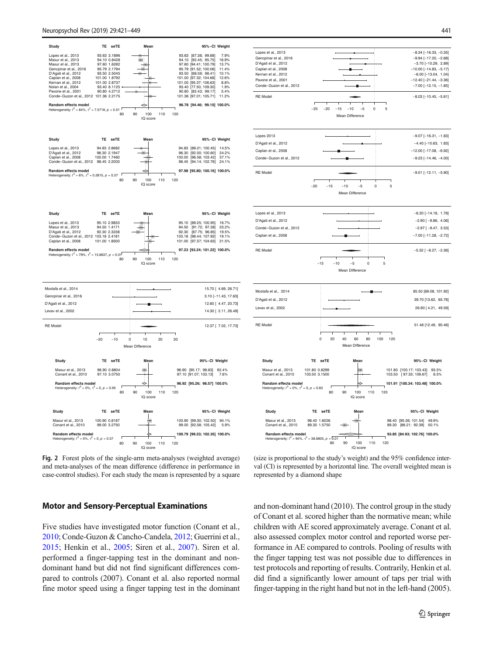<span id="page-21-0"></span>

Fig. 2 Forest plots of the single-arm meta-analyses (weighted average) and meta-analyses of the mean difference (difference in performance in case-control studies). For each study the mean is represented by a square



Five studies have investigated motor function (Conant et al., [2010;](#page-27-0) Conde-Guzon & Cancho-Candela, [2012;](#page-27-0) Guerrini et al., [2015;](#page-28-0) Henkin et al., [2005](#page-28-0); Siren et al., [2007\)](#page-29-0). Siren et al. performed a finger-tapping test in the dominant and nondominant hand but did not find significant differences compared to controls (2007). Conant et al. also reported normal fine motor speed using a finger tapping test in the dominant



(size is proportional to the study's weight) and the 95% confidence interval (CI) is represented by a horizontal line. The overall weighted mean is represented by a diamond shape

and non-dominant hand (2010). The control group in the study of Conant et al. scored higher than the normative mean; while children with AE scored approximately average. Conant et al. also assessed complex motor control and reported worse performance in AE compared to controls. Pooling of results with the finger tapping test was not possible due to differences in test protocols and reporting of results. Contrarily, Henkin et al. did find a significantly lower amount of taps per trial with finger-tapping in the right hand but not in the left-hand (2005).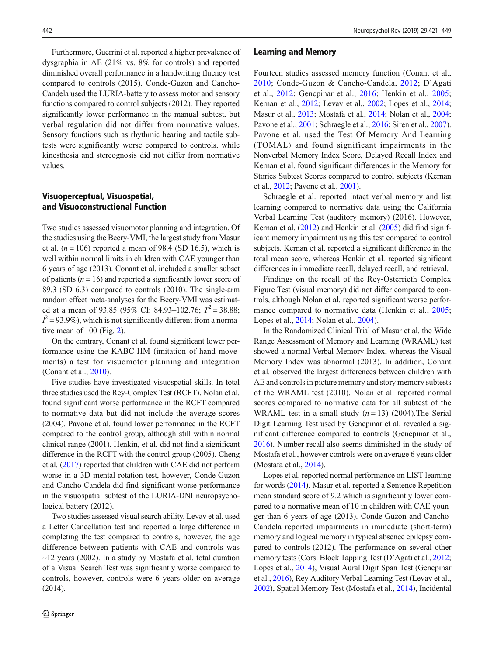Furthermore, Guerrini et al. reported a higher prevalence of dysgraphia in AE (21% vs. 8% for controls) and reported diminished overall performance in a handwriting fluency test compared to controls (2015). Conde-Guzon and Cancho-Candela used the LURIA-battery to assess motor and sensory functions compared to control subjects (2012). They reported significantly lower performance in the manual subtest, but verbal regulation did not differ from normative values. Sensory functions such as rhythmic hearing and tactile subtests were significantly worse compared to controls, while kinesthesia and stereognosis did not differ from normative values.

# Visuoperceptual, Visuospatial, and Visuoconstructional Function

Two studies assessed visuomotor planning and integration. Of the studies using the Beery-VMI, the largest study from Masur et al.  $(n = 106)$  reported a mean of 98.4 (SD 16.5), which is well within normal limits in children with CAE younger than 6 years of age (2013). Conant et al. included a smaller subset of patients ( $n = 16$ ) and reported a significantly lower score of 89.3 (SD 6.3) compared to controls (2010). The single-arm random effect meta-analyses for the Beery-VMI was estimated at a mean of 93.85 (95% CI: 84.93–102.76;  $T^2 = 38.88$ ;  $I^2 = 93.9\%$ ), which is not significantly different from a normative mean of 100 (Fig. [2\)](#page-21-0).

On the contrary, Conant et al. found significant lower performance using the KABC-HM (imitation of hand movements) a test for visuomotor planning and integration (Conant et al., [2010](#page-27-0)).

Five studies have investigated visuospatial skills. In total three studies used the Rey-Complex Test (RCFT). Nolan et al. found significant worse performance in the RCFT compared to normative data but did not include the average scores (2004). Pavone et al. found lower performance in the RCFT compared to the control group, although still within normal clinical range (2001). Henkin, et al. did not find a significant difference in the RCFT with the control group (2005). Cheng et al. [\(2017\)](#page-27-0) reported that children with CAE did not perform worse in a 3D mental rotation test, however, Conde-Guzon and Cancho-Candela did find significant worse performance in the visuospatial subtest of the LURIA-DNI neuropsychological battery (2012).

Two studies assessed visual search ability. Levav et al. used a Letter Cancellation test and reported a large difference in completing the test compared to controls, however, the age difference between patients with CAE and controls was  $\sim$ 12 years (2002). In a study by Mostafa et al. total duration of a Visual Search Test was significantly worse compared to controls, however, controls were 6 years older on average (2014).

#### Learning and Memory

Fourteen studies assessed memory function (Conant et al., [2010;](#page-27-0) Conde-Guzon & Cancho-Candela, [2012;](#page-27-0) D'Agati et al., [2012;](#page-27-0) Gencpinar et al., [2016;](#page-27-0) Henkin et al., [2005;](#page-28-0) Kernan et al., [2012;](#page-28-0) Levav et al., [2002;](#page-28-0) Lopes et al., [2014;](#page-28-0) Masur et al., [2013;](#page-28-0) Mostafa et al., [2014](#page-28-0); Nolan et al., [2004;](#page-28-0) Pavone et al., [2001;](#page-28-0) Schraegle et al., [2016](#page-28-0); Siren et al., [2007\)](#page-29-0). Pavone et al. used the Test Of Memory And Learning (TOMAL) and found significant impairments in the Nonverbal Memory Index Score, Delayed Recall Index and Kernan et al. found significant differences in the Memory for Stories Subtest Scores compared to control subjects (Kernan et al., [2012;](#page-28-0) Pavone et al., [2001\)](#page-28-0).

Schraegle et al. reported intact verbal memory and list learning compared to normative data using the California Verbal Learning Test (auditory memory) (2016). However, Kernan et al. [\(2012\)](#page-28-0) and Henkin et al. [\(2005\)](#page-28-0) did find significant memory impairment using this test compared to control subjects. Kernan et al. reported a significant difference in the total mean score, whereas Henkin et al. reported significant differences in immediate recall, delayed recall, and retrieval.

Findings on the recall of the Rey-Osterrieth Complex Figure Test (visual memory) did not differ compared to controls, although Nolan et al. reported significant worse performance compared to normative data (Henkin et al., [2005;](#page-28-0) Lopes et al., [2014](#page-28-0); Nolan et al., [2004](#page-28-0)).

In the Randomized Clinical Trial of Masur et al. the Wide Range Assessment of Memory and Learning (WRAML) test showed a normal Verbal Memory Index, whereas the Visual Memory Index was abnormal (2013). In addition, Conant et al. observed the largest differences between children with AE and controls in picture memory and story memory subtests of the WRAML test (2010). Nolan et al. reported normal scores compared to normative data for all subtest of the WRAML test in a small study  $(n = 13)$  (2004). The Serial Digit Learning Test used by Gencpinar et al. revealed a significant difference compared to controls (Gencpinar et al., [2016\)](#page-27-0). Number recall also seems diminished in the study of Mostafa et al., however controls were on average 6 years older (Mostafa et al., [2014](#page-28-0)).

Lopes et al. reported normal performance on LIST learning for words [\(2014\)](#page-28-0). Masur et al. reported a Sentence Repetition mean standard score of 9.2 which is significantly lower compared to a normative mean of 10 in children with CAE younger than 6 years of age (2013). Conde-Guzon and Cancho-Candela reported impairments in immediate (short-term) memory and logical memory in typical absence epilepsy compared to controls (2012). The performance on several other memory tests (Corsi Block Tapping Test (D'Agati et al., [2012;](#page-27-0) Lopes et al., [2014](#page-28-0)), Visual Aural Digit Span Test (Gencpinar et al., [2016\)](#page-27-0), Rey Auditory Verbal Learning Test (Levav et al., [2002\)](#page-28-0), Spatial Memory Test (Mostafa et al., [2014\)](#page-28-0), Incidental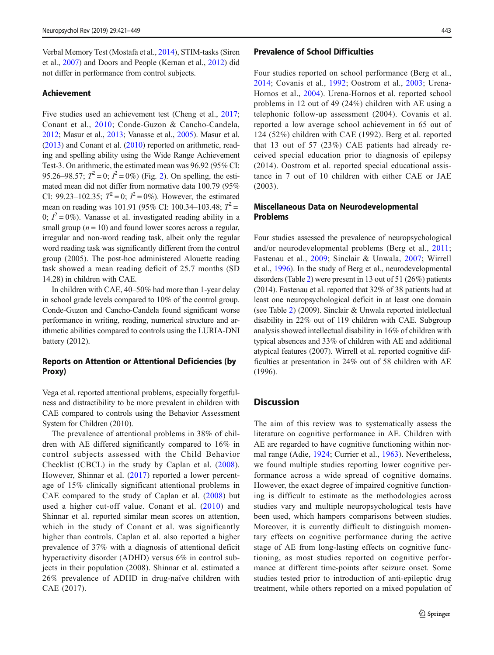Verbal Memory Test (Mostafa et al., [2014\)](#page-28-0), STIM-tasks (Siren et al., [2007](#page-29-0)) and Doors and People (Kernan et al., [2012](#page-28-0)) did not differ in performance from control subjects.

#### Achievement

Five studies used an achievement test (Cheng et al., [2017](#page-27-0); Conant et al., [2010](#page-27-0); Conde-Guzon & Cancho-Candela, [2012;](#page-27-0) Masur et al., [2013;](#page-28-0) Vanasse et al., [2005](#page-29-0)). Masur et al. [\(2013\)](#page-28-0) and Conant et al. [\(2010\)](#page-27-0) reported on arithmetic, reading and spelling ability using the Wide Range Achievement Test-3. On arithmetic, the estimated mean was 96.92 (95% CI: 95.[2](#page-21-0)6–98.57;  $T^2 = 0$ ;  $T^2 = 0$ %) (Fig. 2). On spelling, the estimated mean did not differ from normative data 100.79 (95% CI: 99.23–102.35;  $T^2 = 0$ ;  $T^2 = 0$ %). However, the estimated mean on reading was 101.91 (95% CI: 100.34–103.48;  $T^2$  = 0;  $I^2 = 0\%$ ). Vanasse et al. investigated reading ability in a small group  $(n = 10)$  and found lower scores across a regular, irregular and non-word reading task, albeit only the regular word reading task was significantly different from the control group (2005). The post-hoc administered Alouette reading task showed a mean reading deficit of 25.7 months (SD 14.28) in children with CAE.

In children with CAE, 40–50% had more than 1-year delay in school grade levels compared to 10% of the control group. Conde-Guzon and Cancho-Candela found significant worse performance in writing, reading, numerical structure and arithmetic abilities compared to controls using the LURIA-DNI battery (2012).

# Reports on Attention or Attentional Deficiencies (by Proxy)

Vega et al. reported attentional problems, especially forgetfulness and distractibility to be more prevalent in children with CAE compared to controls using the Behavior Assessment System for Children (2010).

The prevalence of attentional problems in 38% of children with AE differed significantly compared to 16% in control subjects assessed with the Child Behavior Checklist (CBCL) in the study by Caplan et al. ([2008](#page-27-0)). However, Shinnar et al. ([2017](#page-29-0)) reported a lower percentage of 15% clinically significant attentional problems in CAE compared to the study of Caplan et al. [\(2008\)](#page-27-0) but used a higher cut-off value. Conant et al. ([2010](#page-27-0)) and Shinnar et al. reported similar mean scores on attention, which in the study of Conant et al. was significantly higher than controls. Caplan et al. also reported a higher prevalence of 37% with a diagnosis of attentional deficit hyperactivity disorder (ADHD) versus 6% in control subjects in their population (2008). Shinnar et al. estimated a 26% prevalence of ADHD in drug-naïve children with CAE (2017).

#### Prevalence of School Difficulties

Four studies reported on school performance (Berg et al., [2014](#page-27-0); Covanis et al., [1992](#page-27-0); Oostrom et al., [2003;](#page-28-0) Urena-Hornos et al., [2004](#page-29-0)). Urena-Hornos et al. reported school problems in 12 out of 49 (24%) children with AE using a telephonic follow-up assessment (2004). Covanis et al. reported a low average school achievement in 65 out of 124 (52%) children with CAE (1992). Berg et al. reported that 13 out of 57 (23%) CAE patients had already received special education prior to diagnosis of epilepsy (2014). Oostrom et al. reported special educational assistance in 7 out of 10 children with either CAE or JAE (2003).

# Miscellaneous Data on Neurodevelopmental Problems

Four studies assessed the prevalence of neuropsychological and/or neurodevelopmental problems (Berg et al., [2011;](#page-27-0) Fastenau et al., [2009](#page-27-0); Sinclair & Unwala, [2007](#page-29-0); Wirrell et al., [1996](#page-29-0)). In the study of Berg et al., neurodevelopmental disorders (Table [2\)](#page-7-0) were present in 13 out of 51 (26%) patients (2014). Fastenau et al. reported that 32% of 38 patients had at least one neuropsychological deficit in at least one domain (see Table [2\)](#page-7-0) (2009). Sinclair & Unwala reported intellectual disability in 22% out of 119 children with CAE. Subgroup analysis showed intellectual disability in 16% of children with typical absences and 33% of children with AE and additional atypical features (2007). Wirrell et al. reported cognitive difficulties at presentation in 24% out of 58 children with AE (1996).

# **Discussion**

The aim of this review was to systematically assess the literature on cognitive performance in AE. Children with AE are regarded to have cognitive functioning within normal range (Adie, [1924;](#page-27-0) Currier et al., [1963\)](#page-27-0). Nevertheless, we found multiple studies reporting lower cognitive performance across a wide spread of cognitive domains. However, the exact degree of impaired cognitive functioning is difficult to estimate as the methodologies across studies vary and multiple neuropsychological tests have been used, which hampers comparisons between studies. Moreover, it is currently difficult to distinguish momentary effects on cognitive performance during the active stage of AE from long-lasting effects on cognitive functioning, as most studies reported on cognitive performance at different time-points after seizure onset. Some studies tested prior to introduction of anti-epileptic drug treatment, while others reported on a mixed population of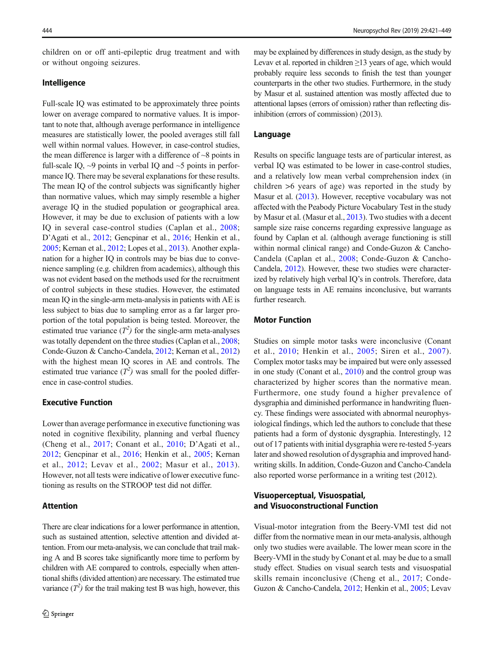children on or off anti-epileptic drug treatment and with or without ongoing seizures.

#### **Intelligence**

Full-scale IQ was estimated to be approximately three points lower on average compared to normative values. It is important to note that, although average performance in intelligence measures are statistically lower, the pooled averages still fall well within normal values. However, in case-control studies, the mean difference is larger with a difference of  $\sim$ 8 points in full-scale IQ,  $\sim$ 9 points in verbal IQ and  $\sim$ 5 points in performance IQ. There may be several explanations for these results. The mean IQ of the control subjects was significantly higher than normative values, which may simply resemble a higher average IQ in the studied population or geographical area. However, it may be due to exclusion of patients with a low IQ in several case-control studies (Caplan et al., [2008](#page-27-0); D'Agati et al., [2012](#page-27-0); Gencpinar et al., [2016](#page-27-0); Henkin et al., [2005;](#page-28-0) Kernan et al., [2012](#page-28-0); Lopes et al., [2013](#page-28-0)). Another explanation for a higher IQ in controls may be bias due to convenience sampling (e.g. children from academics), although this was not evident based on the methods used for the recruitment of control subjects in these studies. However, the estimated mean IQ in the single-arm meta-analysis in patients with AE is less subject to bias due to sampling error as a far larger proportion of the total population is being tested. Moreover, the estimated true variance  $(T^2)$  for the single-arm meta-analyses was totally dependent on the three studies (Caplan et al., [2008](#page-27-0); Conde-Guzon & Cancho-Candela, [2012](#page-27-0); Kernan et al., [2012\)](#page-28-0) with the highest mean IQ scores in AE and controls. The estimated true variance  $(T^2)$  was small for the pooled difference in case-control studies.

# Executive Function

Lower than average performance in executive functioning was noted in cognitive flexibility, planning and verbal fluency (Cheng et al., [2017](#page-27-0); Conant et al., [2010](#page-27-0); D'Agati et al., [2012;](#page-27-0) Gencpinar et al., [2016](#page-27-0); Henkin et al., [2005;](#page-28-0) Kernan et al., [2012;](#page-28-0) Levav et al., [2002;](#page-28-0) Masur et al., [2013](#page-28-0)). However, not all tests were indicative of lower executive functioning as results on the STROOP test did not differ.

# Attention

There are clear indications for a lower performance in attention, such as sustained attention, selective attention and divided attention. From our meta-analysis, we can conclude that trail making A and B scores take significantly more time to perform by children with AE compared to controls, especially when attentional shifts (divided attention) are necessary. The estimated true variance  $(T^2)$  for the trail making test B was high, however, this

may be explained by differences in study design, as the study by Levav et al. reported in children  $\geq$ 13 years of age, which would probably require less seconds to finish the test than younger counterparts in the other two studies. Furthermore, in the study by Masur et al. sustained attention was mostly affected due to attentional lapses (errors of omission) rather than reflecting disinhibition (errors of commission) (2013).

#### Language

Results on specific language tests are of particular interest, as verbal IQ was estimated to be lower in case-control studies, and a relatively low mean verbal comprehension index (in children >6 years of age) was reported in the study by Masur et al. ([2013](#page-28-0)). However, receptive vocabulary was not affected with the Peabody Picture Vocabulary Test in the study by Masur et al. (Masur et al., [2013](#page-28-0)). Two studies with a decent sample size raise concerns regarding expressive language as found by Caplan et al. (although average functioning is still within normal clinical range) and Conde-Guzon & Cancho-Candela (Caplan et al., [2008](#page-27-0); Conde-Guzon & Cancho-Candela, [2012](#page-27-0)). However, these two studies were characterized by relatively high verbal IQ's in controls. Therefore, data on language tests in AE remains inconclusive, but warrants further research.

# Motor Function

Studies on simple motor tasks were inconclusive (Conant et al., [2010;](#page-27-0) Henkin et al., [2005](#page-28-0); Siren et al., [2007](#page-29-0)). Complex motor tasks may be impaired but were only assessed in one study (Conant et al., [2010\)](#page-27-0) and the control group was characterized by higher scores than the normative mean. Furthermore, one study found a higher prevalence of dysgraphia and diminished performance in handwriting fluency. These findings were associated with abnormal neurophysiological findings, which led the authors to conclude that these patients had a form of dystonic dysgraphia. Interestingly, 12 out of 17 patients with initial dysgraphia were re-tested 5-years later and showed resolution of dysgraphia and improved handwriting skills. In addition, Conde-Guzon and Cancho-Candela also reported worse performance in a writing test (2012).

## Visuoperceptual, Visuospatial, and Visuoconstructional Function

Visual-motor integration from the Beery-VMI test did not differ from the normative mean in our meta-analysis, although only two studies were available. The lower mean score in the Beery-VMI in the study by Conant et al. may be due to a small study effect. Studies on visual search tests and visuospatial skills remain inconclusive (Cheng et al., [2017;](#page-27-0) Conde-Guzon & Cancho-Candela, [2012](#page-27-0); Henkin et al., [2005;](#page-28-0) Levav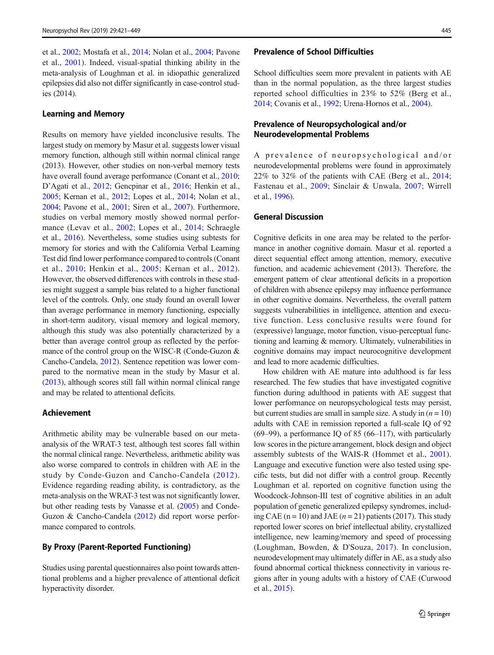et al., [2002;](#page-28-0) Mostafa et al., [2014;](#page-28-0) Nolan et al., [2004;](#page-28-0) Pavone et al., [2001](#page-28-0)). Indeed, visual-spatial thinking ability in the meta-analysis of Loughman et al. in idiopathic generalized epilepsies did also not differ significantly in case-control studies (2014).

#### Learning and Memory

Results on memory have yielded inconclusive results. The largest study on memory by Masur et al. suggests lower visual memory function, although still within normal clinical range (2013). However, other studies on non-verbal memory tests have overall found average performance (Conant et al., [2010](#page-27-0); D'Agati et al., [2012](#page-27-0); Gencpinar et al., [2016](#page-27-0); Henkin et al., [2005;](#page-28-0) Kernan et al., [2012](#page-28-0); Lopes et al., [2014](#page-28-0); Nolan et al., [2004;](#page-28-0) Pavone et al., [2001](#page-28-0); Siren et al., [2007](#page-29-0)). Furthermore, studies on verbal memory mostly showed normal performance (Levav et al., [2002;](#page-28-0) Lopes et al., [2014](#page-28-0); Schraegle et al., [2016](#page-28-0)). Nevertheless, some studies using subtests for memory for stories and with the California Verbal Learning Test did find lower performance compared to controls (Conant et al., [2010;](#page-27-0) Henkin et al., [2005;](#page-28-0) Kernan et al., [2012](#page-28-0)). However, the observed differences with controls in these studies might suggest a sample bias related to a higher functional level of the controls. Only, one study found an overall lower than average performance in memory functioning, especially in short-term auditory, visual memory and logical memory, although this study was also potentially characterized by a better than average control group as reflected by the performance of the control group on the WISC-R (Conde-Guzon & Cancho-Candela, [2012](#page-27-0)). Sentence repetition was lower compared to the normative mean in the study by Masur et al. [\(2013\)](#page-28-0), although scores still fall within normal clinical range and may be related to attentional deficits.

# Achievement

Arithmetic ability may be vulnerable based on our metaanalysis of the WRAT-3 test, although test scores fall within the normal clinical range. Nevertheless, arithmetic ability was also worse compared to controls in children with AE in the study by Conde-Guzon and Cancho-Candela ([2012\)](#page-27-0). Evidence regarding reading ability, is contradictory, as the meta-analysis on the WRAT-3 test was not significantly lower, but other reading tests by Vanasse et al. ([2005](#page-29-0)) and Conde-Guzon & Cancho-Candela ([2012\)](#page-27-0) did report worse performance compared to controls.

#### By Proxy (Parent-Reported Functioning)

Studies using parental questionnaires also point towards attentional problems and a higher prevalence of attentional deficit hyperactivity disorder.

#### Prevalence of School Difficulties

School difficulties seem more prevalent in patients with AE than in the normal population, as the three largest studies reported school difficulties in 23% to 52% (Berg et al., [2014;](#page-27-0) Covanis et al., [1992](#page-27-0); Urena-Hornos et al., [2004\)](#page-29-0).

# Prevalence of Neuropsychological and/or Neurodevelopmental Problems

A prevalence of neuropsychological and/or neurodevelopmental problems were found in approximately 22% to 32% of the patients with CAE (Berg et al., [2014;](#page-27-0) Fastenau et al., [2009](#page-27-0); Sinclair & Unwala, [2007](#page-29-0); Wirrell et al., [1996\)](#page-29-0).

# General Discussion

Cognitive deficits in one area may be related to the performance in another cognitive domain. Masur et al. reported a direct sequential effect among attention, memory, executive function, and academic achievement (2013). Therefore, the emergent pattern of clear attentional deficits in a proportion of children with absence epilepsy may influence performance in other cognitive domains. Nevertheless, the overall pattern suggests vulnerabilities in intelligence, attention and executive function. Less conclusive results were found for (expressive) language, motor function, visuo-perceptual functioning and learning & memory. Ultimately, vulnerabilities in cognitive domains may impact neurocognitive development and lead to more academic difficulties.

How children with AE mature into adulthood is far less researched. The few studies that have investigated cognitive function during adulthood in patients with AE suggest that lower performance on neuropsychological tests may persist, but current studies are small in sample size. A study in  $(n = 10)$ adults with CAE in remission reported a full-scale IQ of 92  $(69-99)$ , a performance IQ of 85  $(66-117)$ , with particularly low scores in the picture arrangement, block design and object assembly subtests of the WAIS-R (Hommet et al., [2001](#page-28-0)). Language and executive function were also tested using specific tests, but did not differ with a control group. Recently Loughman et al. reported on cognitive function using the Woodcock-Johnson-III test of cognitive abilities in an adult population of genetic generalized epilepsy syndromes, including CAE ( $n = 10$ ) and JAE ( $n = 21$ ) patients (2017). This study reported lower scores on brief intellectual ability, crystallized intelligence, new learning/memory and speed of processing (Loughman, Bowden, & D'Souza, [2017\)](#page-28-0). In conclusion, neurodevelopment may ultimately differ in AE, as a study also found abnormal cortical thickness connectivity in various regions after in young adults with a history of CAE (Curwood et al., [2015\)](#page-27-0).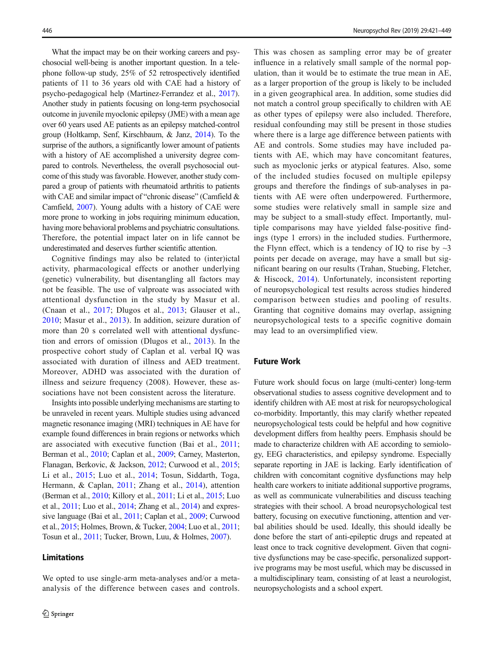What the impact may be on their working careers and psychosocial well-being is another important question. In a telephone follow-up study, 25% of 52 retrospectively identified patients of 11 to 36 years old with CAE had a history of psycho-pedagogical help (Martinez-Ferrandez et al., [2017](#page-28-0)). Another study in patients focusing on long-term psychosocial outcome in juvenile myoclonic epilepsy (JME) with a mean age over 60 years used AE patients as an epilepsy matched-control group (Holtkamp, Senf, Kirschbaum, & Janz, [2014](#page-28-0)). To the surprise of the authors, a significantly lower amount of patients with a history of AE accomplished a university degree compared to controls. Nevertheless, the overall psychosocial outcome of this study was favorable. However, another study compared a group of patients with rheumatoid arthritis to patients with CAE and similar impact of "chronic disease" (Camfield & Camfield, [2007\)](#page-27-0). Young adults with a history of CAE were more prone to working in jobs requiring minimum education, having more behavioral problems and psychiatric consultations. Therefore, the potential impact later on in life cannot be underestimated and deserves further scientific attention.

Cognitive findings may also be related to (inter)ictal activity, pharmacological effects or another underlying (genetic) vulnerability, but disentangling all factors may not be feasible. The use of valproate was associated with attentional dysfunction in the study by Masur et al. (Cnaan et al., [2017](#page-27-0); Dlugos et al., [2013](#page-27-0); Glauser et al., [2010](#page-27-0); Masur et al., [2013\)](#page-28-0). In addition, seizure duration of more than 20 s correlated well with attentional dysfunction and errors of omission (Dlugos et al., [2013\)](#page-27-0). In the prospective cohort study of Caplan et al. verbal IQ was associated with duration of illness and AED treatment. Moreover, ADHD was associated with the duration of illness and seizure frequency (2008). However, these associations have not been consistent across the literature.

Insights into possible underlying mechanisms are starting to be unraveled in recent years. Multiple studies using advanced magnetic resonance imaging (MRI) techniques in AE have for example found differences in brain regions or networks which are associated with executive function (Bai et al., [2011](#page-27-0); Berman et al., [2010;](#page-27-0) Caplan et al., [2009](#page-27-0); Carney, Masterton, Flanagan, Berkovic, & Jackson, [2012;](#page-27-0) Curwood et al., [2015](#page-27-0); Li et al., [2015](#page-28-0); Luo et al., [2014](#page-28-0); Tosun, Siddarth, Toga, Hermann, & Caplan, [2011;](#page-29-0) Zhang et al., [2014](#page-29-0)), attention (Berman et al., [2010](#page-27-0); Killory et al., [2011;](#page-28-0) Li et al., [2015](#page-28-0); Luo et al., [2011](#page-28-0); Luo et al., [2014;](#page-28-0) Zhang et al., [2014](#page-29-0)) and expressive language (Bai et al., [2011;](#page-27-0) Caplan et al., [2009;](#page-27-0) Curwood et al., [2015;](#page-27-0) Holmes, Brown, & Tucker, [2004;](#page-28-0) Luo et al., [2011](#page-28-0); Tosun et al., [2011](#page-29-0); Tucker, Brown, Luu, & Holmes, [2007](#page-29-0)).

# Limitations

We opted to use single-arm meta-analyses and/or a metaanalysis of the difference between cases and controls.

This was chosen as sampling error may be of greater influence in a relatively small sample of the normal population, than it would be to estimate the true mean in AE, as a larger proportion of the group is likely to be included in a given geographical area. In addition, some studies did not match a control group specifically to children with AE as other types of epilepsy were also included. Therefore, residual confounding may still be present in those studies where there is a large age difference between patients with AE and controls. Some studies may have included patients with AE, which may have concomitant features, such as myoclonic jerks or atypical features. Also, some of the included studies focused on multiple epilepsy groups and therefore the findings of sub-analyses in patients with AE were often underpowered. Furthermore, some studies were relatively small in sample size and may be subject to a small-study effect. Importantly, multiple comparisons may have yielded false-positive findings (type 1 errors) in the included studies. Furthermore, the Flynn effect, which is a tendency of IQ to rise by  $\sim$ 3 points per decade on average, may have a small but significant bearing on our results (Trahan, Stuebing, Fletcher, & Hiscock, [2014\)](#page-29-0). Unfortunately, inconsistent reporting of neuropsychological test results across studies hindered comparison between studies and pooling of results. Granting that cognitive domains may overlap, assigning neuropsychological tests to a specific cognitive domain may lead to an oversimplified view.

# Future Work

Future work should focus on large (multi-center) long-term observational studies to assess cognitive development and to identify children with AE most at risk for neuropsychological co-morbidity. Importantly, this may clarify whether repeated neuropsychological tests could be helpful and how cognitive development differs from healthy peers. Emphasis should be made to characterize children with AE according to semiology, EEG characteristics, and epilepsy syndrome. Especially separate reporting in JAE is lacking. Early identification of children with concomitant cognitive dysfunctions may help health care workers to initiate additional supportive programs, as well as communicate vulnerabilities and discuss teaching strategies with their school. A broad neuropsychological test battery, focusing on executive functioning, attention and verbal abilities should be used. Ideally, this should ideally be done before the start of anti-epileptic drugs and repeated at least once to track cognitive development. Given that cognitive dysfunctions may be case-specific, personalized supportive programs may be most useful, which may be discussed in a multidisciplinary team, consisting of at least a neurologist, neuropsychologists and a school expert.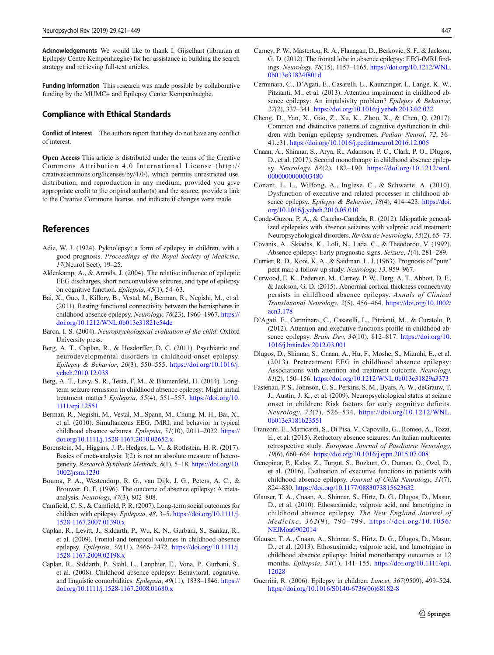<span id="page-27-0"></span>Acknowledgements We would like to thank I. Gijselhart (librarian at Epilepsy Centre Kempenhaeghe) for her assistance in building the search strategy and retrieving full-text articles.

Funding Information This research was made possible by collaborative funding by the MUMC+ and Epilepsy Center Kempenhaeghe.

#### Compliance with Ethical Standards

Conflict of Interest The authors report that they do not have any conflict of interest.

Open Access This article is distributed under the terms of the Creative Commons Attribution 4.0 International License (http:// creativecommons.org/licenses/by/4.0/), which permits unrestricted use, distribution, and reproduction in any medium, provided you give appropriate credit to the original author(s) and the source, provide a link to the Creative Commons license, and indicate if changes were made.

# References

- Adie, W. J. (1924). Pyknolepsy; a form of epilepsy in children, with a good prognosis. Proceedings of the Royal Society of Medicine, 17(Neurol Sect), 19–25.
- Aldenkamp, A., & Arends, J. (2004). The relative influence of epileptic EEG discharges, short nonconvulsive seizures, and type of epilepsy on cognitive function. Epilepsia, 45(1), 54–63.
- Bai, X., Guo, J., Killory, B., Vestal, M., Berman, R., Negishi, M., et al. (2011). Resting functional connectivity between the hemispheres in childhood absence epilepsy. Neurology, 76(23), 1960–1967. [https://](https://doi.org/10.1212/WNL.0b013e31821e54de) [doi.org/10.1212/WNL.0b013e31821e54de](https://doi.org/10.1212/WNL.0b013e31821e54de)
- Baron, I. S. (2004). Neuropsychological evaluation of the child: Oxford University press.
- Berg, A. T., Caplan, R., & Hesdorffer, D. C. (2011). Psychiatric and neurodevelopmental disorders in childhood-onset epilepsy. Epilepsy & Behavior, 20(3), 550–555. [https://doi.org/10.1016/j.](https://doi.org/10.1016/j.yebeh.2010.12.038) [yebeh.2010.12.038](https://doi.org/10.1016/j.yebeh.2010.12.038)
- Berg, A. T., Levy, S. R., Testa, F. M., & Blumenfeld, H. (2014). Longterm seizure remission in childhood absence epilepsy: Might initial treatment matter? Epilepsia, 55(4), 551–557. [https://doi.org/10.](https://doi.org/10.1111/epi.12551) [1111/epi.12551](https://doi.org/10.1111/epi.12551)
- Berman, R., Negishi, M., Vestal, M., Spann, M., Chung, M. H., Bai, X., et al. (2010). Simultaneous EEG, fMRI, and behavior in typical childhood absence seizures. *Epilepsia*, 51(10), 2011–2022. [https://](https://doi.org/10.1111/j.1528-1167.2010.02652.x) [doi.org/10.1111/j.1528-1167.2010.02652.x](https://doi.org/10.1111/j.1528-1167.2010.02652.x)
- Borenstein, M., Higgins, J. P., Hedges, L. V., & Rothstein, H. R. (2017). Basics of meta-analysis: I(2) is not an absolute measure of heterogeneity. Research Synthesis Methods, 8(1), 5–18. [https://doi.org/10.](https://doi.org/10.1002/jrsm.1230) [1002/jrsm.1230](https://doi.org/10.1002/jrsm.1230)
- Bouma, P. A., Westendorp, R. G., van Dijk, J. G., Peters, A. C., & Brouwer, O. F. (1996). The outcome of absence epilepsy: A metaanalysis. Neurology, 47(3), 802–808.
- Camfield, C. S., & Camfield, P. R. (2007). Long-term social outcomes for children with epilepsy. Epilepsia, 48, 3–5. [https://doi.org/10.1111/j.](https://doi.org/10.1111/j.1528-1167.2007.01390.x) [1528-1167.2007.01390.x](https://doi.org/10.1111/j.1528-1167.2007.01390.x)
- Caplan, R., Levitt, J., Siddarth, P., Wu, K. N., Gurbani, S., Sankar, R., et al. (2009). Frontal and temporal volumes in childhood absence epilepsy. Epilepsia, 50(11), 2466–2472. [https://doi.org/10.1111/j.](https://doi.org/10.1111/j.1528-1167.2009.02198.x) [1528-1167.2009.02198.x](https://doi.org/10.1111/j.1528-1167.2009.02198.x)
- Caplan, R., Siddarth, P., Stahl, L., Lanphier, E., Vona, P., Gurbani, S., et al. (2008). Childhood absence epilepsy: Behavioral, cognitive, and linguistic comorbidities. Epilepsia, 49(11), 1838–1846. [https://](https://doi.org/10.1111/j.1528-1167.2008.01680.x) [doi.org/10.1111/j.1528-1167.2008.01680.x](https://doi.org/10.1111/j.1528-1167.2008.01680.x)
- Carney, P. W., Masterton, R. A., Flanagan, D., Berkovic, S. F., & Jackson, G. D. (2012). The frontal lobe in absence epilepsy: EEG-fMRI findings. Neurology, 78(15), 1157–1165. [https://doi.org/10.1212/WNL.](https://doi.org/10.1212/WNL.0b013e31824f801d) [0b013e31824f801d](https://doi.org/10.1212/WNL.0b013e31824f801d)
- Cerminara, C., D'Agati, E., Casarelli, L., Kaunzinger, I., Lange, K. W., Pitzianti, M., et al. (2013). Attention impairment in childhood absence epilepsy: An impulsivity problem? Epilepsy & Behavior, 27(2), 337–341. <https://doi.org/10.1016/j.yebeh.2013.02.022>
- Cheng, D., Yan, X., Gao, Z., Xu, K., Zhou, X., & Chen, Q. (2017). Common and distinctive patterns of cognitive dysfunction in children with benign epilepsy syndromes. Pediatr Neurol, 72, 36– 41.e31. <https://doi.org/10.1016/j.pediatrneurol.2016.12.005>
- Cnaan, A., Shinnar, S., Arya, R., Adamson, P. C., Clark, P. O., Dlugos, D., et al. (2017). Second monotherapy in childhood absence epilepsy. Neurology, 88(2), 182–190. [https://doi.org/10.1212/wnl.](https://doi.org/10.1212/wnl.0000000000003480) [0000000000003480](https://doi.org/10.1212/wnl.0000000000003480)
- Conant, L. L., Wilfong, A., Inglese, C., & Schwarte, A. (2010). Dysfunction of executive and related processes in childhood absence epilepsy. Epilepsy & Behavior, 18(4), 414-423. [https://doi.](https://doi.org/10.1016/j.yebeh.2010.05.010) [org/10.1016/j.yebeh.2010.05.010](https://doi.org/10.1016/j.yebeh.2010.05.010)
- Conde-Guzon, P. A., & Cancho-Candela, R. (2012). Idiopathic generalized epilepsies with absence seizures with valproic acid treatment: Neuropsychological disorders. Revista de Neurologia, 55(2), 65–73.
- Covanis, A., Skiadas, K., Loli, N., Lada, C., & Theodorou, V. (1992). Absence epilepsy: Early prognostic signs. Seizure, 1(4), 281–289.
- Currier, R. D., Kooi, K. A., & Saidman, L. J. (1963). Prognosis of "pure" petit mal; a follow-up study. Neurology, 13, 959–967.
- Curwood, E. K., Pedersen, M., Carney, P. W., Berg, A. T., Abbott, D. F., & Jackson, G. D. (2015). Abnormal cortical thickness connectivity persists in childhood absence epilepsy. Annals of Clinical Translational Neurology, 2(5), 456–464. [https://doi.org/10.1002/](https://doi.org/10.1002/acn3.178) [acn3.178](https://doi.org/10.1002/acn3.178)
- D'Agati, E., Cerminara, C., Casarelli, L., Pitzianti, M., & Curatolo, P. (2012). Attention and executive functions profile in childhood absence epilepsy. Brain Dev, 34(10), 812-817. [https://doi.org/10.](https://doi.org/10.1016/j.braindev.2012.03.001) [1016/j.braindev.2012.03.001](https://doi.org/10.1016/j.braindev.2012.03.001)
- Dlugos, D., Shinnar, S., Cnaan, A., Hu, F., Moshe, S., Mizrahi, E., et al. (2013). Pretreatment EEG in childhood absence epilepsy: Associations with attention and treatment outcome. Neurology, 81(2), 150–156. <https://doi.org/10.1212/WNL.0b013e31829a3373>
- Fastenau, P. S., Johnson, C. S., Perkins, S. M., Byars, A. W., deGrauw, T. J., Austin, J. K., et al. (2009). Neuropsychological status at seizure onset in children: Risk factors for early cognitive deficits. Neurology, 73(7), 526–534. [https://doi.org/10.1212/WNL.](https://doi.org/10.1212/WNL.0b013e3181b23551) [0b013e3181b23551](https://doi.org/10.1212/WNL.0b013e3181b23551)
- Franzoni, E., Matricardi, S., Di Pisa, V., Capovilla, G., Romeo, A., Tozzi, E., et al. (2015). Refractory absence seizures: An Italian multicenter retrospective study. European Journal of Paediatric Neurology, 19(6), 660–664. <https://doi.org/10.1016/j.ejpn.2015.07.008>
- Gencpinar, P., Kalay, Z., Turgut, S., Bozkurt, O., Duman, O., Ozel, D., et al. (2016). Evaluation of executive functions in patients with childhood absence epilepsy. Journal of Child Neurology, 31(7), 824–830. <https://doi.org/10.1177/0883073815623632>
- Glauser, T. A., Cnaan, A., Shinnar, S., Hirtz, D. G., Dlugos, D., Masur, D., et al. (2010). Ethosuximide, valproic acid, and lamotrigine in childhood absence epilepsy. The New England Journal of Medicine, 362(9), 790–799. [https://doi.org/10.1056/](https://doi.org/10.1056/NEJMoa0902014) [NEJMoa0902014](https://doi.org/10.1056/NEJMoa0902014)
- Glauser, T. A., Cnaan, A., Shinnar, S., Hirtz, D. G., Dlugos, D., Masur, D., et al. (2013). Ethosuximide, valproic acid, and lamotrigine in childhood absence epilepsy: Initial monotherapy outcomes at 12 months. Epilepsia, 54(1), 141–155. [https://doi.org/10.1111/epi.](https://doi.org/10.1111/epi.12028) [12028](https://doi.org/10.1111/epi.12028)
- Guerrini, R. (2006). Epilepsy in children. Lancet, 367(9509), 499–524. [https://doi.org/10.1016/S0140-6736\(06\)68182-8](https://doi.org/10.1016/S0140-6736(06)68182-8)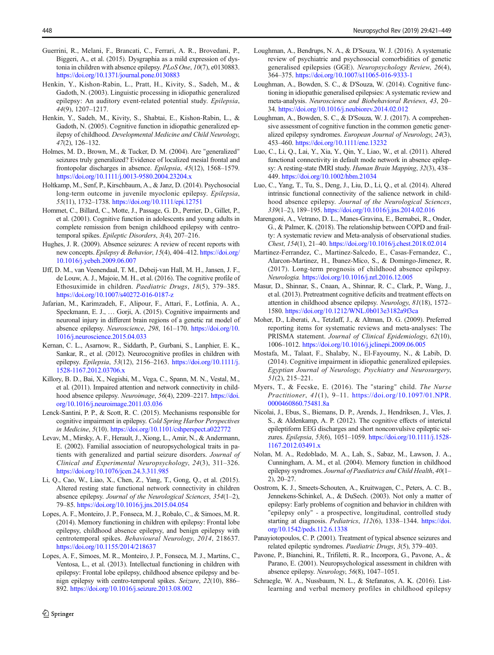- <span id="page-28-0"></span>Guerrini, R., Melani, F., Brancati, C., Ferrari, A. R., Brovedani, P., Biggeri, A., et al. (2015). Dysgraphia as a mild expression of dystonia in children with absence epilepsy. PLoS One, 10(7), e0130883. <https://doi.org/10.1371/journal.pone.0130883>
- Henkin, Y., Kishon-Rabin, L., Pratt, H., Kivity, S., Sadeh, M., & Gadoth, N. (2003). Linguistic processing in idiopathic generalized epilepsy: An auditory event-related potential study. Epilepsia, 44(9), 1207–1217.
- Henkin, Y., Sadeh, M., Kivity, S., Shabtai, E., Kishon-Rabin, L., & Gadoth, N. (2005). Cognitive function in idiopathic generalized epilepsy of childhood. Developmental Medicine and Child Neurology, 47(2), 126–132.
- Holmes, M. D., Brown, M., & Tucker, D. M. (2004). Are "generalized" seizures truly generalized? Evidence of localized mesial frontal and frontopolar discharges in absence. Epilepsia, 45(12), 1568–1579. <https://doi.org/10.1111/j.0013-9580.2004.23204.x>
- Holtkamp, M., Senf, P., Kirschbaum, A., & Janz, D. (2014). Psychosocial long-term outcome in juvenile myoclonic epilepsy. Epilepsia, 55(11), 1732–1738. <https://doi.org/10.1111/epi.12751>
- Hommet, C., Billard, C., Motte, J., Passage, G. D., Perrier, D., Gillet, P., et al. (2001). Cognitive function in adolescents and young adults in complete remission from benign childhood epilepsy with centrotemporal spikes. Epileptic Disorders, 3(4), 207–216.
- Hughes, J. R. (2009). Absence seizures: A review of recent reports with new concepts. Epilepsy & Behavior, 15(4), 404–412. [https://doi.org/](https://doi.org/10.1016/j.yebeh.2009.06.007) [10.1016/j.yebeh.2009.06.007](https://doi.org/10.1016/j.yebeh.2009.06.007)
- IJff, D. M., van Veenendaal, T. M., Debeij-van Hall, M. H., Jansen, J. F., de Louw, A. J., Majoie, M. H., et al. (2016). The cognitive profile of Ethosuximide in children. Paediatric Drugs, 18(5), 379–385. <https://doi.org/10.1007/s40272-016-0187-z>
- Jafarian, M., Karimzadeh, F., Alipour, F., Attari, F., Lotfinia, A. A., Speckmann, E. J., … Gorji, A. (2015). Cognitive impairments and neuronal injury in different brain regions of a genetic rat model of absence epilepsy. Neuroscience, 298, 161–170. [https://doi.org/10.](https://doi.org/10.1016/j.neuroscience.2015.04.033) [1016/j.neuroscience.2015.04.033](https://doi.org/10.1016/j.neuroscience.2015.04.033)
- Kernan, C. L., Asarnow, R., Siddarth, P., Gurbani, S., Lanphier, E. K., Sankar, R., et al. (2012). Neurocognitive profiles in children with epilepsy. Epilepsia, 53(12), 2156–2163. [https://doi.org/10.1111/j.](https://doi.org/10.1111/j.1528-1167.2012.03706.x) [1528-1167.2012.03706.x](https://doi.org/10.1111/j.1528-1167.2012.03706.x)
- Killory, B. D., Bai, X., Negishi, M., Vega, C., Spann, M. N., Vestal, M., et al. (2011). Impaired attention and network connectivity in childhood absence epilepsy. Neuroimage, 56(4), 2209-2217. [https://doi.](https://doi.org/10.1016/j.neuroimage.2011.03.036) [org/10.1016/j.neuroimage.2011.03.036](https://doi.org/10.1016/j.neuroimage.2011.03.036)
- Lenck-Santini, P. P., & Scott, R. C. (2015). Mechanisms responsible for cognitive impairment in epilepsy. Cold Spring Harbor Perspectives in Medicine, 5(10). <https://doi.org/10.1101/cshperspect.a022772>
- Levav, M., Mirsky, A. F., Herault, J., Xiong, L., Amir, N., & Andermann, E. (2002). Familial association of neuropsychological traits in patients with generalized and partial seizure disorders. Journal of Clinical and Experimental Neuropsychology, 24(3), 311–326. <https://doi.org/10.1076/jcen.24.3.311.985>
- Li, Q., Cao, W., Liao, X., Chen, Z., Yang, T., Gong, Q., et al. (2015). Altered resting state functional network connectivity in children absence epilepsy. Journal of the Neurological Sciences, 354(1–2), 79–85. <https://doi.org/10.1016/j.jns.2015.04.054>
- Lopes, A. F., Monteiro, J. P., Fonseca, M. J., Robalo, C., & Simoes, M. R. (2014). Memory functioning in children with epilepsy: Frontal lobe epilepsy, childhood absence epilepsy, and benign epilepsy with centrotemporal spikes. Behavioural Neurology, 2014, 218637. <https://doi.org/10.1155/2014/218637>
- Lopes, A. F., Simoes, M. R., Monteiro, J. P., Fonseca, M. J., Martins, C., Ventosa, L., et al. (2013). Intellectual functioning in children with epilepsy: Frontal lobe epilepsy, childhood absence epilepsy and benign epilepsy with centro-temporal spikes. Seizure, 22(10), 886– 892. <https://doi.org/10.1016/j.seizure.2013.08.002>
- Loughman, A., Bendrups, N. A., & D'Souza, W. J. (2016). A systematic review of psychiatric and psychosocial comorbidities of genetic generalised epilepsies (GGE). Neuropsychology Review, 26(4), 364–375. <https://doi.org/10.1007/s11065-016-9333-1>
- Loughman, A., Bowden, S. C., & D'Souza, W. (2014). Cognitive functioning in idiopathic generalised epilepsies: A systematic review and meta-analysis. Neuroscience and Biobehavioral Reviews, 43, 20– 34. <https://doi.org/10.1016/j.neubiorev.2014.02.012>
- Loughman, A., Bowden, S. C., & D'Souza, W. J. (2017). A comprehensive assessment of cognitive function in the common genetic generalized epilepsy syndromes. European Journal of Neurology, 24(3), 453–460. <https://doi.org/10.1111/ene.13232>
- Luo, C., Li, Q., Lai, Y., Xia, Y., Qin, Y., Liao, W., et al. (2011). Altered functional connectivity in default mode network in absence epilepsy: A resting-state fMRI study. Human Brain Mapping, 32(3), 438– 449. <https://doi.org/10.1002/hbm.21034>
- Luo, C., Yang, T., Tu, S., Deng, J., Liu, D., Li, Q., et al. (2014). Altered intrinsic functional connectivity of the salience network in childhood absence epilepsy. Journal of the Neurological Sciences, 339(1–2), 189–195. <https://doi.org/10.1016/j.jns.2014.02.016>
- Marengoni, A., Vetrano, D. L., Manes-Gravina, E., Bernabei, R., Onder, G., & Palmer, K. (2018). The relationship between COPD and frailty: A systematic review and Meta-analysis of observational studies. Chest, 154(1), 21–40. <https://doi.org/10.1016/j.chest.2018.02.014>
- Martinez-Ferrandez, C., Martinez-Salcedo, E., Casas-Fernandez, C., Alarcon-Martinez, H., Ibanez-Mico, S., & Domingo-Jimenez, R. (2017). Long-term prognosis of childhood absence epilepsy. Neurologia. <https://doi.org/10.1016/j.nrl.2016.12.005>
- Masur, D., Shinnar, S., Cnaan, A., Shinnar, R. C., Clark, P., Wang, J., et al. (2013). Pretreatment cognitive deficits and treatment effects on attention in childhood absence epilepsy. Neurology, 81(18), 1572– 1580. <https://doi.org/10.1212/WNL.0b013e3182a9f3ca>
- Moher, D., Liberati, A., Tetzlaff, J., & Altman, D. G. (2009). Preferred reporting items for systematic reviews and meta-analyses: The PRISMA statement. Journal of Clinical Epidemiology, 62(10), 1006–1012. <https://doi.org/10.1016/j.jclinepi.2009.06.005>
- Mostafa, M., Talaat, F., Shalaby, N., El-Fayoumy, N., & Labib, D. (2014). Cognitive impairment in idiopathic generalized epilepsies. Egyptian Journal of Neurology, Psychiatry and Neurosurgery, 51(2), 215–221.
- Myers, T., & Fecske, E. (2016). The "staring" child. The Nurse Practitioner, 41(1), 9–11. [https://doi.org/10.1097/01.NPR.](https://doi.org/10.1097/01.NPR.0000460860.75481.8a) [0000460860.75481.8a](https://doi.org/10.1097/01.NPR.0000460860.75481.8a)
- Nicolai, J., Ebus, S., Biemans, D. P., Arends, J., Hendriksen, J., Vles, J. S., & Aldenkamp, A. P. (2012). The cognitive effects of interictal epileptiform EEG discharges and short nonconvulsive epileptic seizures. Epilepsia, 53(6), 1051–1059. [https://doi.org/10.1111/j.1528-](https://doi.org/10.1111/j.1528-1167.2012.03491.x) [1167.2012.03491.x](https://doi.org/10.1111/j.1528-1167.2012.03491.x)
- Nolan, M. A., Redoblado, M. A., Lah, S., Sabaz, M., Lawson, J. A., Cunningham, A. M., et al. (2004). Memory function in childhood epilepsy syndromes. Journal of Paediatrics and Child Health, 40(1– 2), 20–27.
- Oostrom, K. J., Smeets-Schouten, A., Kruitwagen, C., Peters, A. C. B., Jennekens-Schinkel, A., & DuSech. (2003). Not only a matter of epilepsy: Early problems of cognition and behavior in children with "epilepsy only" - a prospective, longitudinal, controlled study starting at diagnosis. Pediatrics, 112(6), 1338-1344. [https://doi.](https://doi.org/10.1542/peds.112.6.1338) [org/10.1542/peds.112.6.1338](https://doi.org/10.1542/peds.112.6.1338)
- Panayiotopoulos, C. P. (2001). Treatment of typical absence seizures and related epileptic syndromes. Paediatric Drugs, 3(5), 379–403.
- Pavone, P., Bianchini, R., Trifiletti, R. R., Incorpora, G., Pavone, A., & Parano, E. (2001). Neuropsychological assessment in children with absence epilepsy. Neurology, 56(8), 1047–1051.
- Schraegle, W. A., Nussbaum, N. L., & Stefanatos, A. K. (2016). Listlearning and verbal memory profiles in childhood epilepsy